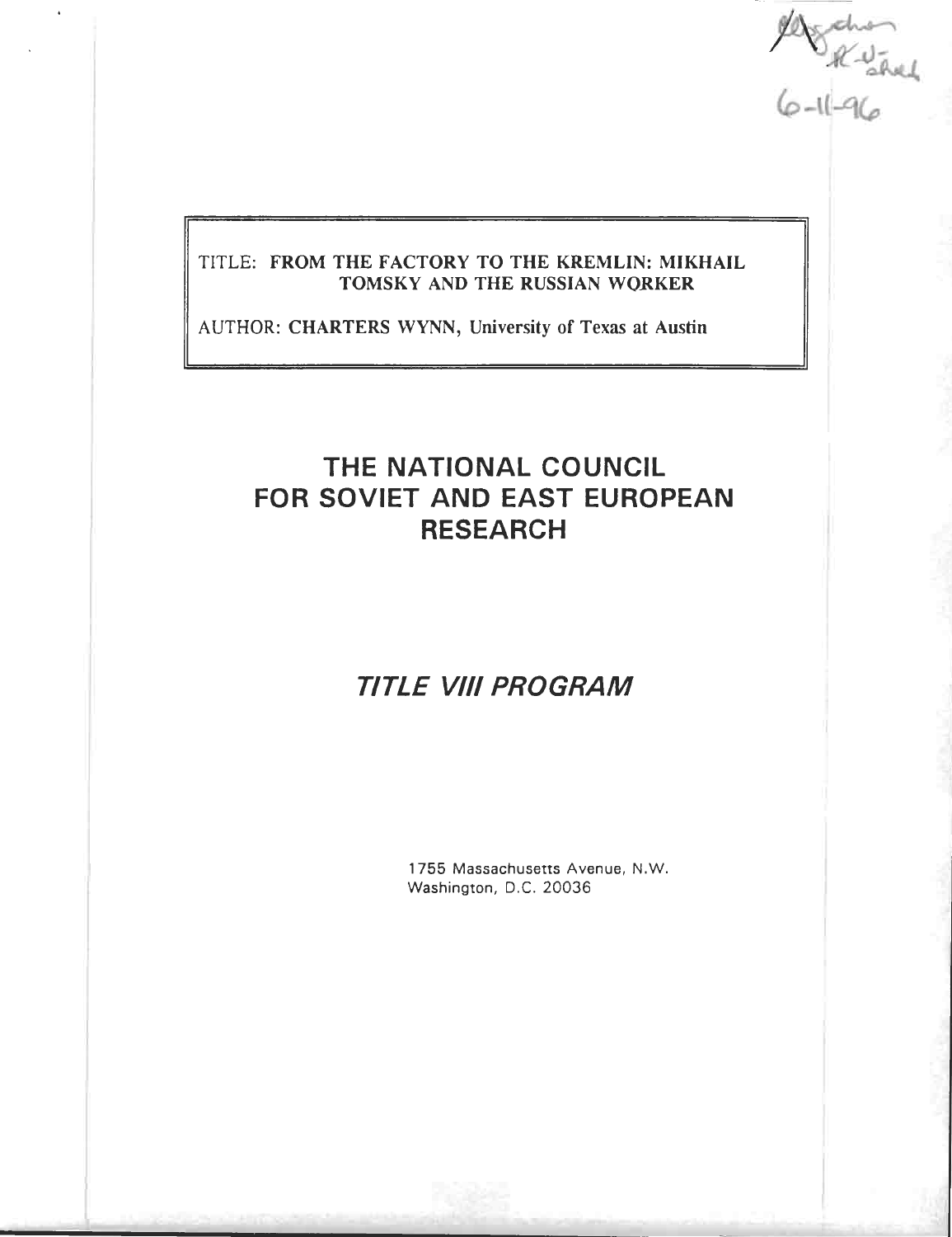$484.47$ 

## TITLE: FROM THE FACTORY TO THE KREMLIN: MIKHAIL **TOMSKY AND THE RUSSIAN WORKER**

AUTHOR: CHARTERS WYNN, University of Texas at Austin

# **THE NATIONAL COUNCIL FOR SOVIET AND EAST EUROPEAN RESEARC H**

# *TITLE VIII PROGRAM*

1755 Massachusetts Avenue, N.W. Washington, D.C. 20036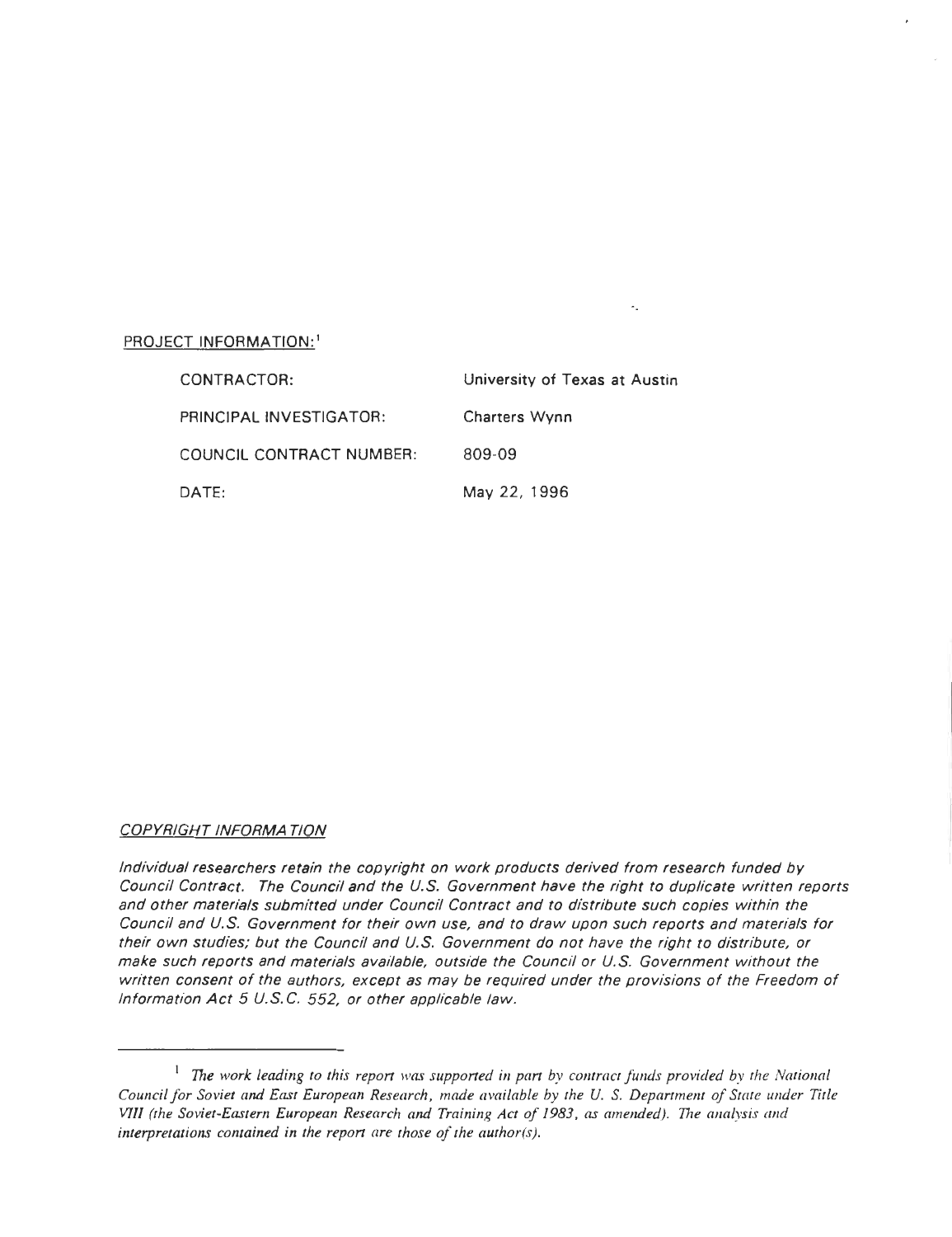## PROJECT INFORMATION:<sup>1</sup>

| CONTRACTOR:              | University of Texas at Austin |
|--------------------------|-------------------------------|
| PRINCIPAL INVESTIGATOR:  | <b>Charters Wynn</b>          |
| COUNCIL CONTRACT NUMBER: | 809-09                        |
| DATE:                    | May 22, 1996                  |

Ä.

#### COPYRIGHT INFORMATION

Individual researchers retain the copyright on work products derived from research funded by Council Contract. The Council and the U.S. Government have the right to duplicate written reports and other materials submitted under Council Contract and to distribute such copies within the Council and U.S. Government for their own use, and to draw upon such reports and materials for their own studies; but the Council and U.S. Government do not have the right to distribute, or make such reports and materials available, outside the Council or U.S. Government without the written consent of the authors, except as may be required under the provisions of the Freedom of Information Act 5 U.S.C. 552, or other applicable law.

 $1$  The work leading to this report was supported in part by contract funds provided by the National Council for Soviet and East European Research, made available by the U.S. Department of State under Title VIII (the Soviet-Eastern European Research and Training Act of 1983, as amended) . The analysis and interpretations contained in the report are those of the author(s).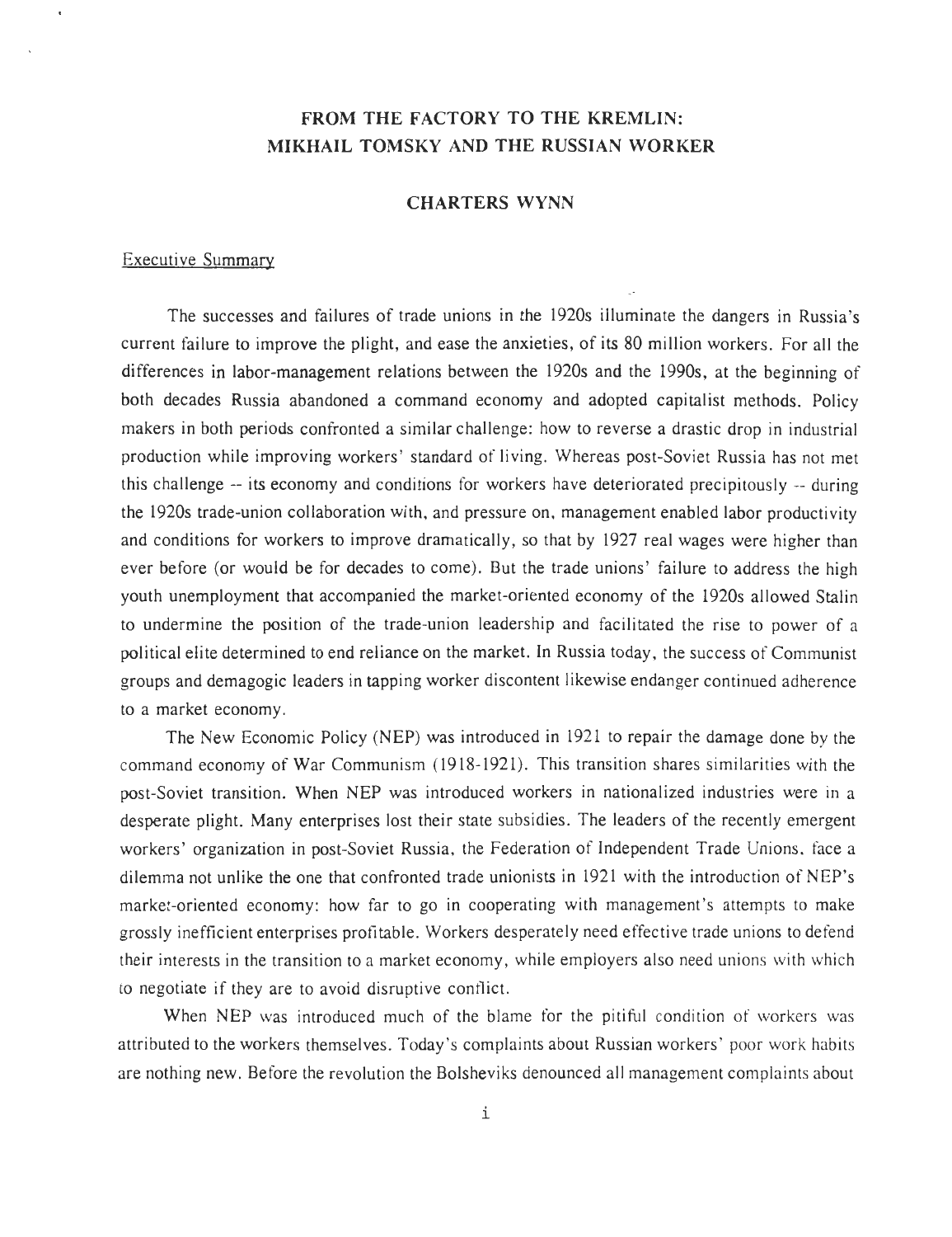# **FROM THE FACTORY TO THE KREMLIN: MIKHAIL TOMSKY AND THE RUSSIAN WORKER**

## **CHARTERS** WYNN

### Executive Summary

The successes and failures of trade unions in the 1920s illuminate the dangers in Russia's current failure to improve the plight, and ease the anxieties, of its 80 million workers . For all the differences in labor-management relations between the 1920s and the 1990s, at the beginning of both decades Russia abandoned a command economy and adopted capitalist methods. Policy makers in both periods confronted a similar challenge: how to reverse a drastic drop in industrial production while improving workers' standard of living. Whereas post-Soviet Russia has not met this challenge -- its economy and conditions for workers have deteriorated precipitously -- during the 1920s trade-union collaboration with, and pressure on, management enabled labor productivity and conditions for workers to improve dramatically, so that by 1927 real wages were higher than ever before (or would be for decades to come). But the trade unions' failure to address the high youth unemployment that accompanied the market-oriented economy of the 1920s allowed Stalin to undermine the position of the trade-union leadership and facilitated the rise to power of a political elite determined to end reliance on the market. In Russia today, the success of Communist groups and demagogic leaders in tapping worker discontent likewise endanger continued adherence to a market economy .

The New Economic Policy (NEP) was introduced in 1921 to repair the damage done by the command economy of War Communism (1918-1921). This transition shares similarities with the post-Soviet transition. When NEP was introduced workers in nationalized industries were in a desperate plight. Many enterprises lost their state subsidies. The leaders of the recently emergent workers' organization in post-Soviet Russia, the Federation of Independent Trade Unions, face a dilemma not unlike the one that confronted trade unionists in 1921 with the introduction of NEP's market-oriented economy: how far to go in cooperating with management's attempts to make grossly inefficient enterprises profitable . Workers desperately need effective trade unions to defend their interests in the transition to a market economy, while employers also need unions with which to negotiate if they are to avoid disruptive conflict.

When NEP was introduced much of the blame for the pitiful condition of workers was attributed to the workers themselves. Today's complaints about Russian workers' poor work habits are nothing new . Before the revolution the Bolsheviks denounced all management complaints about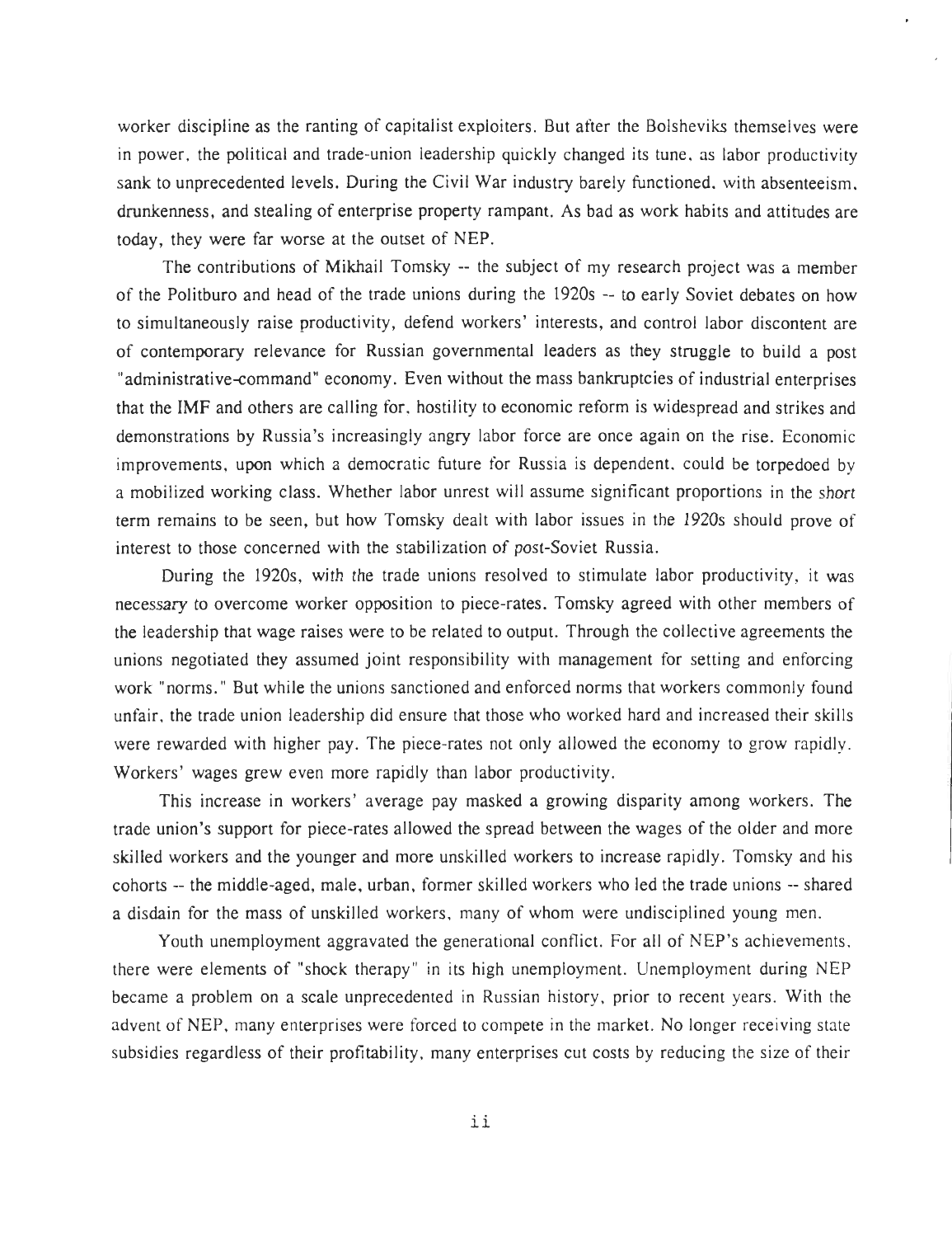worker discipline as the ranting of capitalist exploiters. But after the Bolsheviks themselves were in power, the political and trade-union leadership quickly changed its tune, as labor productivity sank to unprecedented levels. During the Civil War industry barely functioned, with absenteeism, drunkenness, and stealing of enterprise property rampant. As bad as work habits and attitudes are today, they were far worse at the outset of NEP .

The contributions of Mikhail Tomsky -- the subject of my research project was a member of the Politburo and head of the trade unions during the 1920s -- to early Soviet debates on how to simultaneously raise productivity, defend workers' interests, and control labor discontent are of contemporary relevance for Russian governmental leaders as they struggle to build a post "administrative-command" economy. Even without the mass bankruptcies of industrial enterprises that the IMF and others are calling for, hostility to economic reform is widespread and strikes and demonstrations by Russia's increasingly angry labor force are once again on the rise. Economic improvements, upon which a democratic future for Russia is dependent, could be torpedoed by a mobilized working class. Whether labor unrest will assume significant proportions in the short term remains to be seen, but how Tomsky dealt with labor issues in the 1920s should prove of interest to those concerned with the stabilization of post-Soviet Russia .

During the 1920s, with the trade unions resolved to stimulate labor productivity, it was necessary to overcome worker opposition to piece-rates. Tomsky agreed with other members of the leadership that wage raises were to be related to output. Through the collective agreements the unions negotiated they assumed joint responsibility with management for setting and enforcing work "norms." But while the unions sanctioned and enforced norms that workers commonly found unfair, the trade union leadership did ensure that those who worked hard and increased their skills were rewarded with higher pay. The piece-rates not only allowed the economy to grow rapidly. Workers' wages grew even more rapidly than labor productivity.

This increase in workers' average pay masked a growing disparity among workers . The trade union's support for piece-rates allowed the spread between the wages of the older and more skilled workers and the younger and more unskilled workers to increase rapidly. Tomsky and his cohorts -- the middle-aged, male, urban, former skilled workers who led the trade unions -- shared a disdain for the mass of unskilled workers, many of whom were undisciplined young men.

Youth unemployment aggravated the generational conflict. For all of NEP's achievements, there were elements of "shock therapy" in its high unemployment . Unemployment during NEP became a problem on a scale unprecedented in Russian history, prior to recent years . With the advent of NEP, many enterprises were forced to compete in the market. No longer receiving state subsidies regardless of their profitability, many enterprises cut costs by reducing the size of their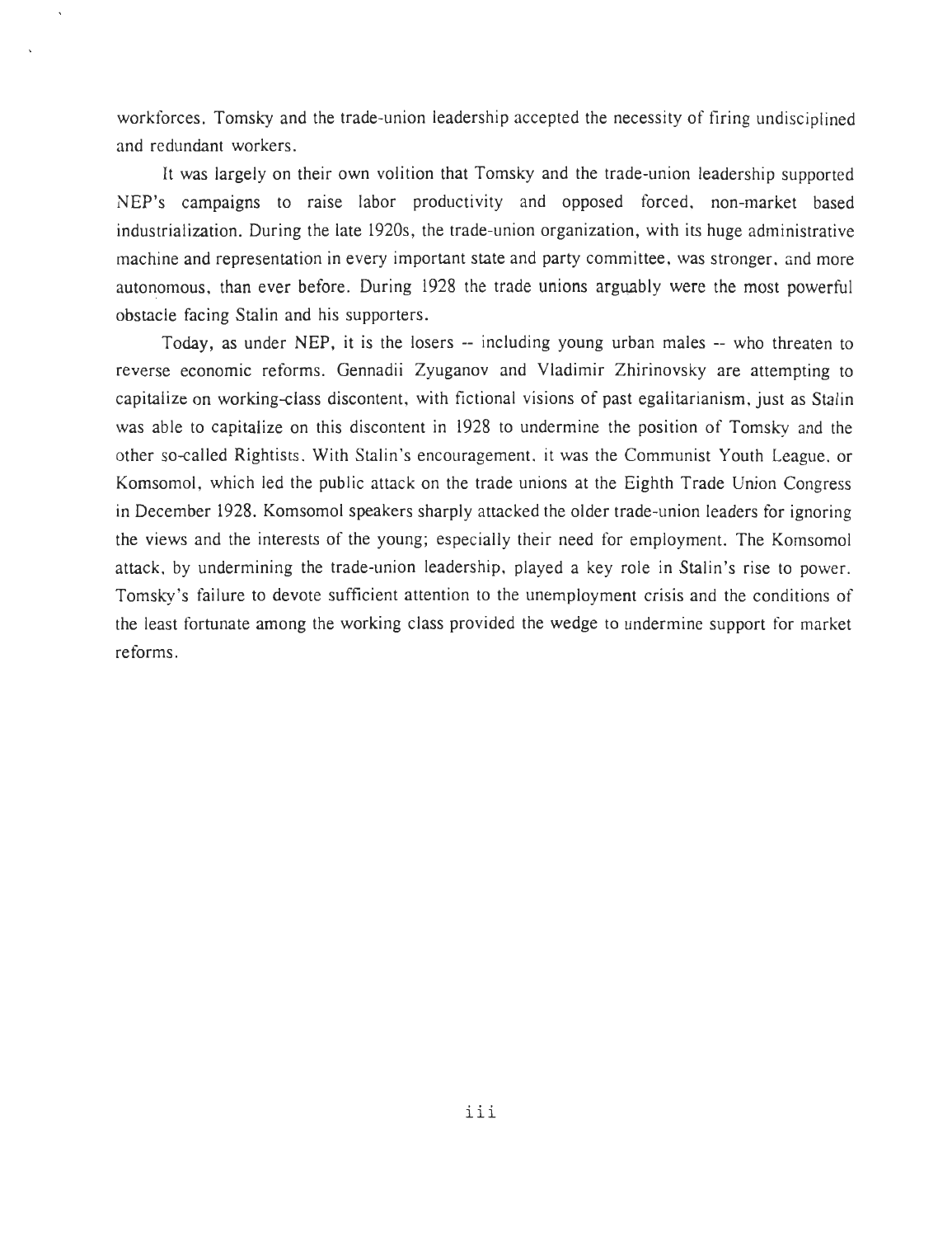workforces. Tomsky and the trade-union leadership accepted the necessity of firing undisciplined and redundant workers .

It was largely on their own volition that Tomsky and the trade-union leadershi NEP's campaigns to raise labor productivity and opposed forced, non-market based industrialization. During the late 1920s, the trade-union organization, with its huge administrative machine and representation in every important state and party committee, was stronger, and more autonomous, than ever before. During 1928 the trade unions arguably were the most powerful obstacle facing Stalin and his supporters .

Today, as under NEP, it is the losers -- including young urban males -- who threaten to reverse economic reforms. Gennadii Zyuganov and Vladimir Zhirinovsky are attempting to capitalize on working-class discontent, with fictional visions of past egalitarianism, just as Stalin was able to capitalize on this discontent in 1928 to undermine the position of Tomsky and the other so-called Rightists. With Stalin's encouragement, it was the Communist Youth League, or Komsomol, which led the public attack on the trade unions at the Eighth Trade Union Congress in December 1928. Komsomol speakers sharply attacked the older trade-union leaders for ignoring the views and the interests of the young; especially their need for employment. The Komsomol attack, by undermining the trade-union leadership, played a key role in Stalin's rise to power . Tomsky's failure to devote sufficient attention to the unemployment crisis and the conditions of the least fortunate among the working class provided the wedge to undermine support for market reforms.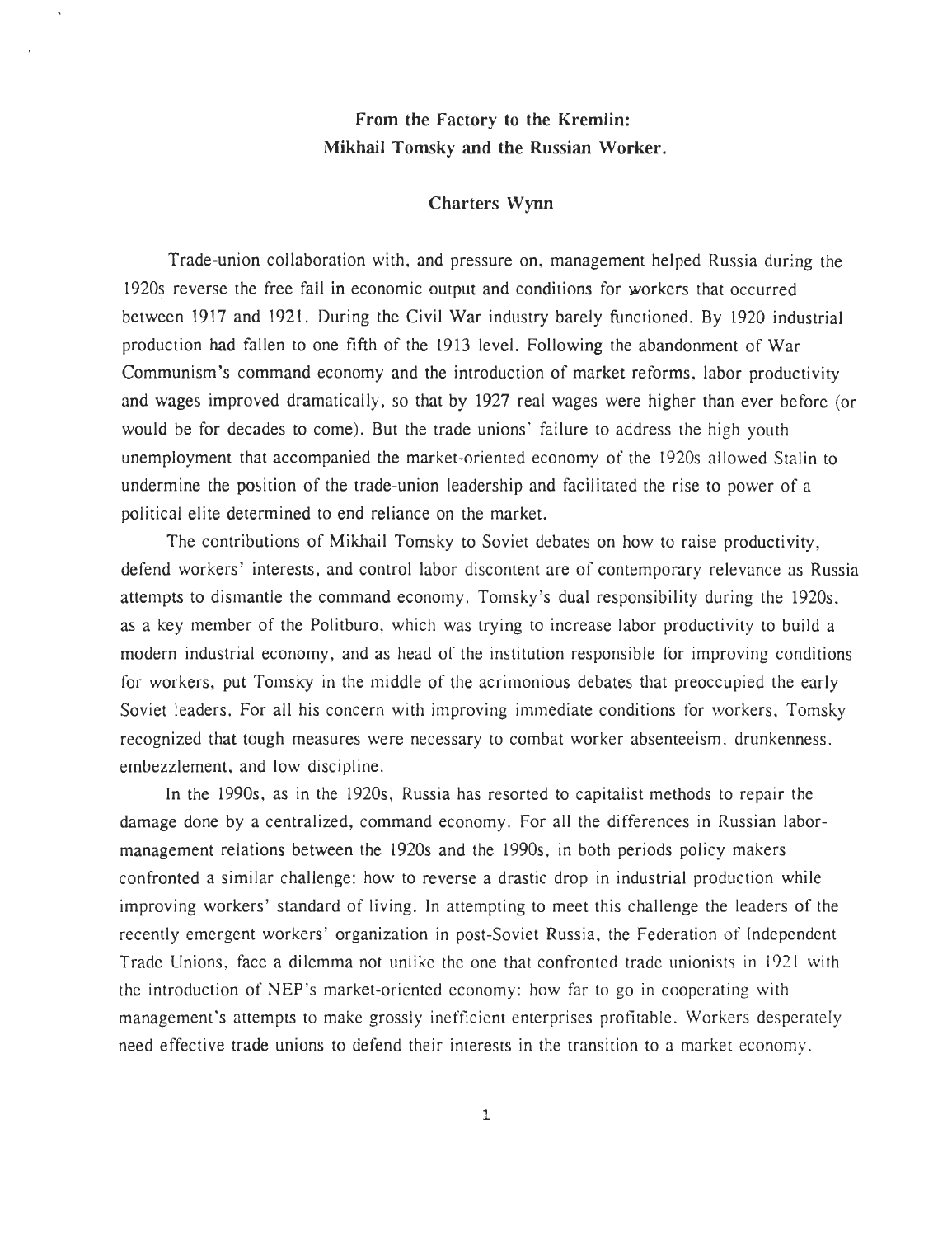# **From the Factory to the Kremlin: Mikhail** Tomsky **and the Russian Worker.**

#### **Charters Wynn**

Trade-union collaboration with, and pressure on, management helped Russia during the 1920s reverse the free fall in economic output and conditions for workers that occurred between 1917 and 1921. During the Civil War industry barely functioned. By 1920 industrial production had fallen to one fifth of the 1913 level . Following the abandonment of War Communism's command economy and the introduction of market reforms, labor productivity and wages improved dramatically, so that by 1927 real wages were higher than ever before (or would be for decades to come) . But the trade unions' failure to address the high youth unemployment that accompanied the market-oriented economy of the 1920s allowed Stalin to undermine the position of the trade-union leadership and facilitated the rise to power of a political elite determined to end reliance on the market.

The contributions of Mikhail Tomsky to Soviet debates on how to raise productivity, defend workers' interests, and control labor discontent are of contemporary relevance as Russia attempts to dismantle the command economy. Tomsky's dual responsibility during the 1920s, as a key member of the Politburo, which was trying to increase labor productivity to build a modern industrial economy, and as head of the institution responsible for improving conditions for workers, put Tomsky in the middle of the acrimonious debates that preoccupied the early Soviet leaders. For all his concern with improving immediate conditions for workers, Tomsky recognized that tough measures were necessary to combat worker absenteeism, drunkenness . embezzlement, and low discipline .

In the 1990s, as in the 1920s, Russia has resorted to capitalist methods to repair the damage done by a centralized, command economy. For all the differences in Russian labormanagement relations between the 1920s and the 1990s, in both periods policy makers confronted a similar challenge: how to reverse a drastic drop in industrial production while improving workers' standard of living. In attempting to meet this challenge the leaders of the recently emergent workers' organization in post-Soviet Russia, the Federation of Independent Trade Unions, face a dilemma not unlike the one that confronted trade unionists in 1921 with the introduction of NEP's market-oriented economy: how far to go in cooperating with management's attempts to make grossly inefficient enterprises profitable. Workers desperately need effective trade unions to defend their interests in the transition to a market economy ,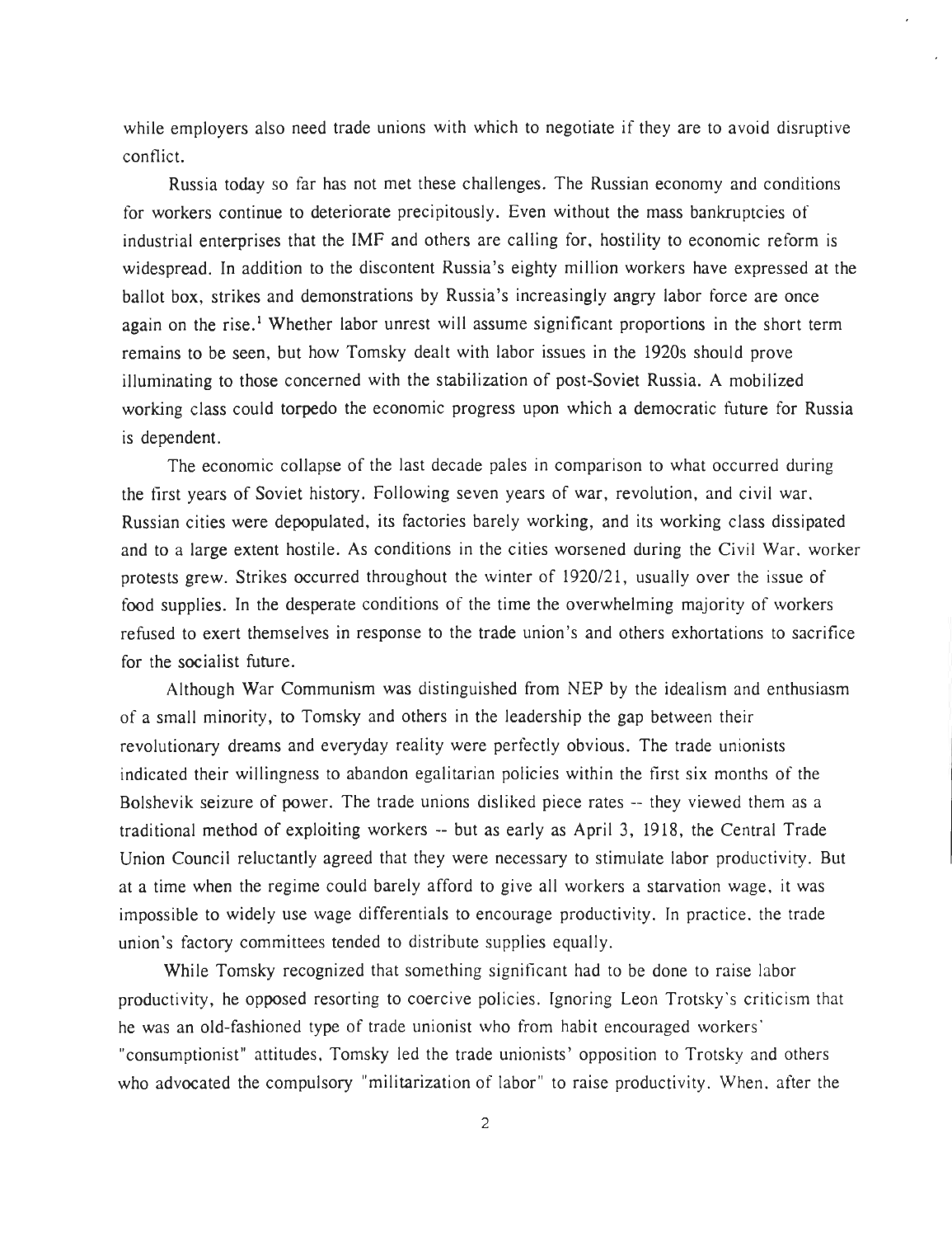while employers also need trade unions with which to negotiate if they are to avoid disruptive conflict.

Russia today so far has not met these challenges. The Russian economy and conditions for workers continue to deteriorate precipitously. Even without the mass bankruptcies of industrial enterprises that the IMF and others are calling for, hostility to economic reform is widespread. In addition to the discontent Russia's eighty million workers have expressed at the ballot box, strikes and demonstrations by Russia's increasingly angry labor force are once again on the rise.<sup>1</sup> Whether labor unrest will assume significant proportions in the short term remains to be seen, but how Tomsky dealt with labor issues in the 1920s should prove illuminating to those concerned with the stabilization of post-Soviet Russia . A mobilized working class could torpedo the economic progress upon which a democratic future for Russia is dependent.

The economic collapse of the last decade pales in comparison to what occurred during the first years of Soviet history. Following seven years of war, revolution, and civil war , Russian cities were depopulated, its factories barely working, and its working class dissipated and to a large extent hostile . As conditions in the cities worsened during the Civil War, worker protests grew. Strikes occurred throughout the winter of  $1920/21$ , usually over the issue of food supplies. In the desperate conditions of the time the overwhelming majority of workers refused to exert themselves in response to the trade union's and others exhortations to sacrifice for the socialist future.

Although War Communism was distinguished from NEP by the idealism and enthusiasm of a small minority, to Tomsky and others in the leadership the gap between their revolutionary dreams and everyday reality were perfectly obvious. The trade unionists indicated their willingness to abandon egalitarian policies within the first six months of the Bolshevik seizure of power. The trade unions disliked piece rates -- they viewed them as a traditional method of exploiting workers -- but as early as April 3, 1918, the Central Trade Union Council reluctantly agreed that they were necessary to stimulate labor productivity . But at a time when the regime could barely afford to give all workers a starvation wage, it was impossible to widely use wage differentials to encourage productivity. In practice, the trade union's factory committees tended to distribute supplies equally .

While Tomsky recognized that something significant had to be done to raise labor productivity, he opposed resorting to coercive policies. Ignoring Leon Trotsky's criticism that he was an old-fashioned type of trade unionist who from habit encouraged workers ' "consumptionist" attitudes, Tomsky led the trade unionists' opposition to Trotsky and others who advocated the compulsory "militarization of labor" to raise productivity. When, after the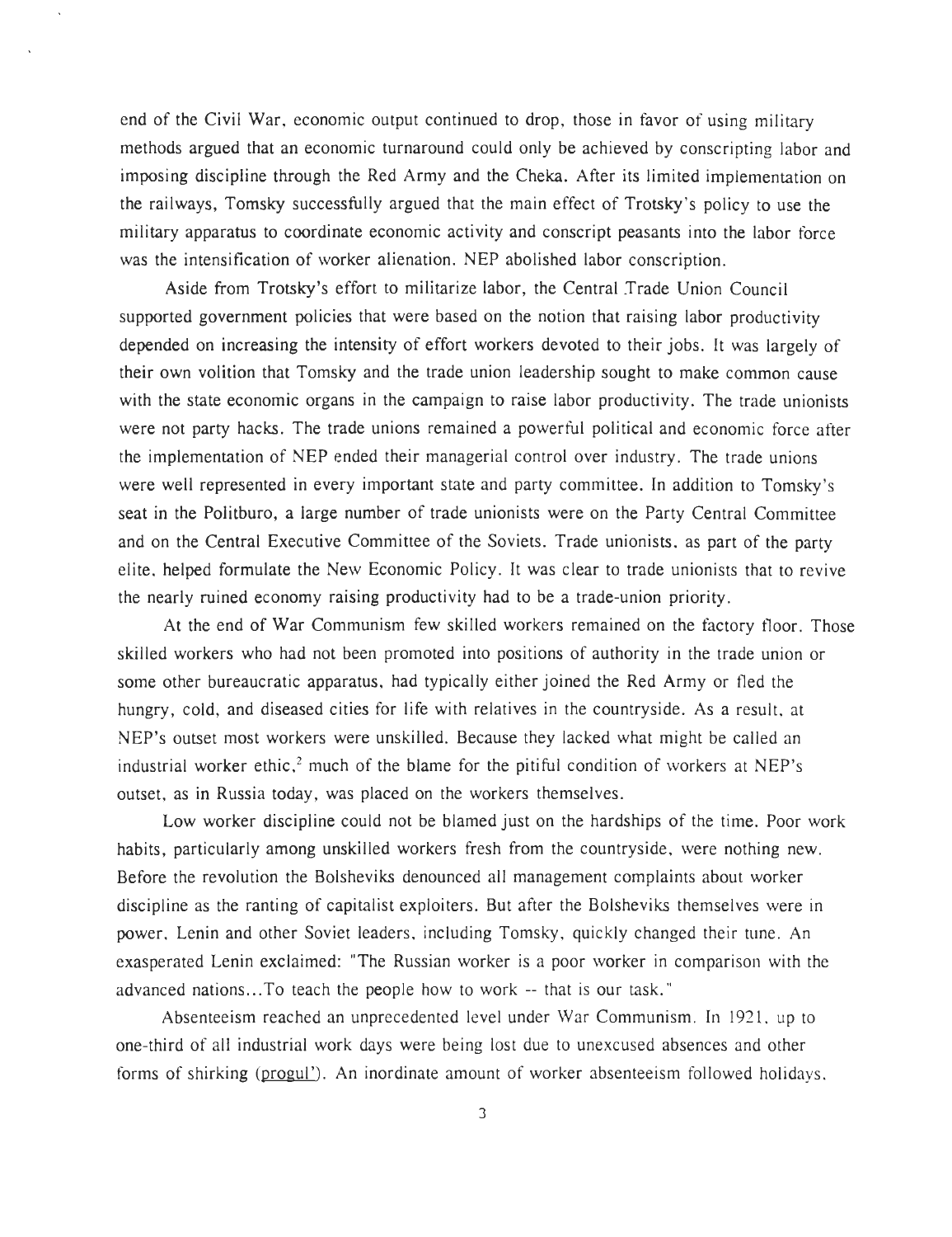end of the Civil War, economic output continued to drop, those in favor of using military methods argued that an economic turnaround could only be achieved by conscripting labor and imposing discipline through the Red Army and the Cheka . After its limited implementation on the railways, Tomsky successfully argued that the main effect of Trotsky's policy to use the military apparatus to coordinate economic activity and conscript peasants into the labor force was the intensification of worker alienation. NEP abolished labor conscription.

Aside from Trotsky's effort to militarize labor, the Central Trade Union Council supported government policies that were based on the notion that raising labor productivity depended on increasing the intensity of effort workers devoted to their jobs. It was largely of their own volition that Tomsky and the trade union leadership sought to make common cause with the state economic organs in the campaign to raise labor productivity. The trade unionists were not party hacks. The trade unions remained a powerful political and economic force after the implementation of NEP ended their managerial control over industry . The trade unions were well represented in every important state and party committee. In addition to Tomsky's seat in the Politburo, a large number of trade unionists were on the Party Central Committee and on the Central Executive Committee of the Soviets. Trade unionists, as part of the party elite, helped formulate the New Economic Policy. It was clear to trade unionists that to revive the nearly ruined economy raising productivity had to be a trade-union priority .

At the end of War Communism few skilled workers remained on the factory floor. Those skilled workers who had not been promoted into positions of authority in the trade union or some other bureaucratic apparatus, had typically either joined the Red Army or fled the hungry, cold, and diseased cities for life with relatives in the countryside . As a result, at NEP's outset most workers were unskilled. Because they lacked what might be called an industrial worker ethic,<sup>2</sup> much of the blame for the pitiful condition of workers at NEP's outset, as in Russia today, was placed on the workers themselves .

Low worker discipline could not be blamed just on the hardships of the time. Poor work habits, particularly among unskilled workers fresh from the countryside, were nothing new. Before the revolution the Bolsheviks denounced all management complaints about worker discipline as the ranting of capitalist exploiters. But after the Bolsheviks themselves were in power, Lenin and other Soviet leaders, including Tomsky, quickly changed their tune. An exasperated Lenin exclaimed: "The Russian worker is a poor worker in comparison with the advanced nations...To teach the people how to work -- that is our task."

Absenteeism reached an unprecedented level under War Communism. In 1921, up to one-third of all industrial work days were being lost due to unexcused absences and other forms of shirking (progul'). An inordinate amount of worker absenteeism followed holidays.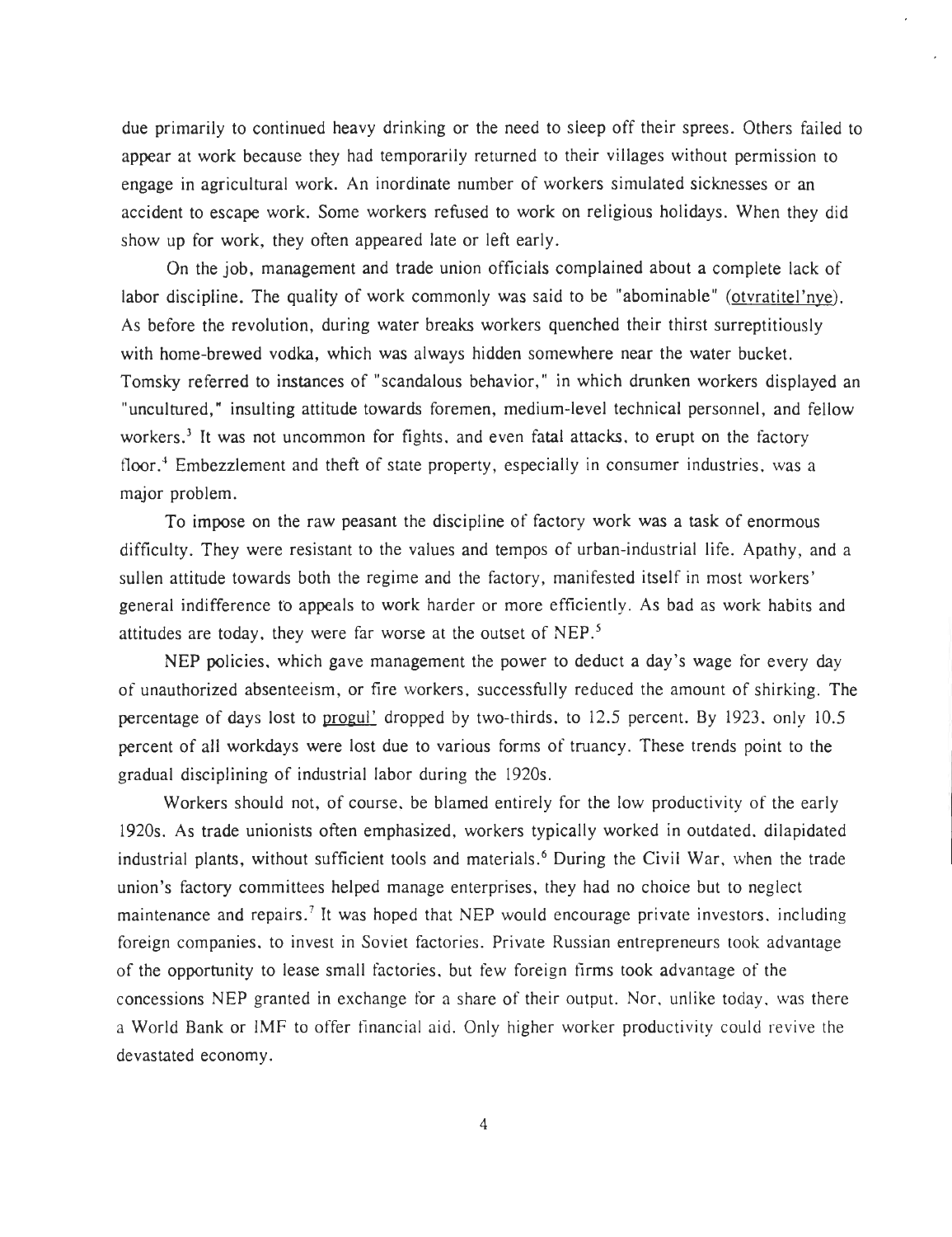due primarily to continued heavy drinking or the need to sleep off their sprees . Others failed to appear at work because they had temporarily returned to their villages without permission to engage in agricultural work. An inordinate number of workers simulated sicknesses or an accident to escape work. Some workers refused to work on religious holidays. When they did show up for work, they often appeared late or left early.

On the job, management and trade union officials complained about a complete lack of labor discipline. The quality of work commonly was said to be "abominable" (otyratitel'nye). As before the revolution, during water breaks workers quenched their thirst surreptitiously with home-brewed vodka, which was always hidden somewhere near the water bucket. Tomsky referred to instances of "scandalous behavior," in which drunken workers displayed an "uncultured," insulting attitude towards foremen, medium-level technical personnel, and fellow workers.<sup>3</sup> It was not uncommon for fights, and even fatal attacks, to erupt on the factory floor.<sup>4</sup> Embezzlement and theft of state property, especially in consumer industries, was a major problem.

To impose on the raw peasant the discipline of factory work was a task of enormous difficulty. They were resistant to the values and tempos of urban-industrial life. Apathy, and a sullen attitude towards both the regime and the factory, manifested itself in most workers ' general indifference to appeals to work harder or more efficiently. As bad as work habits and attitudes are today, they were far worse at the outset of NEP.<sup>5</sup>

NEP policies, which gave management the power to deduct a day's wage for every day of unauthorized absenteeism, or fire workers, successfully reduced the amount of shirking. The percentage of days lost to progul' dropped by two-thirds, to 12.5 percent. By 1923, only 10.5 percent of all workdays were lost due to various forms of truancy. These trends point to the gradual disciplining of industrial labor during the 1920s.

Workers should not, of course, be blamed entirely for the low productivity of the early 1920s. As trade unionists often emphasized, workers typically worked in outdated, dilapidated industrial plants, without sufficient tools and materials.' During the Civil War, when the trade union's factory committees helped manage enterprises, they had no choice but to neglect maintenance and repairs.<sup>7</sup> It was hoped that NEP would encourage private investors, including foreign companies, to invest in Soviet factories. Private Russian entrepreneurs took advantage of the opportunity to lease small factories, but few foreign firms took advantage of the concessions NEP granted in exchange for a share of their output. Nor, unlike today, was there a World Bank or IMF to offer financial aid. Only higher worker productivity could revive the devastated economy.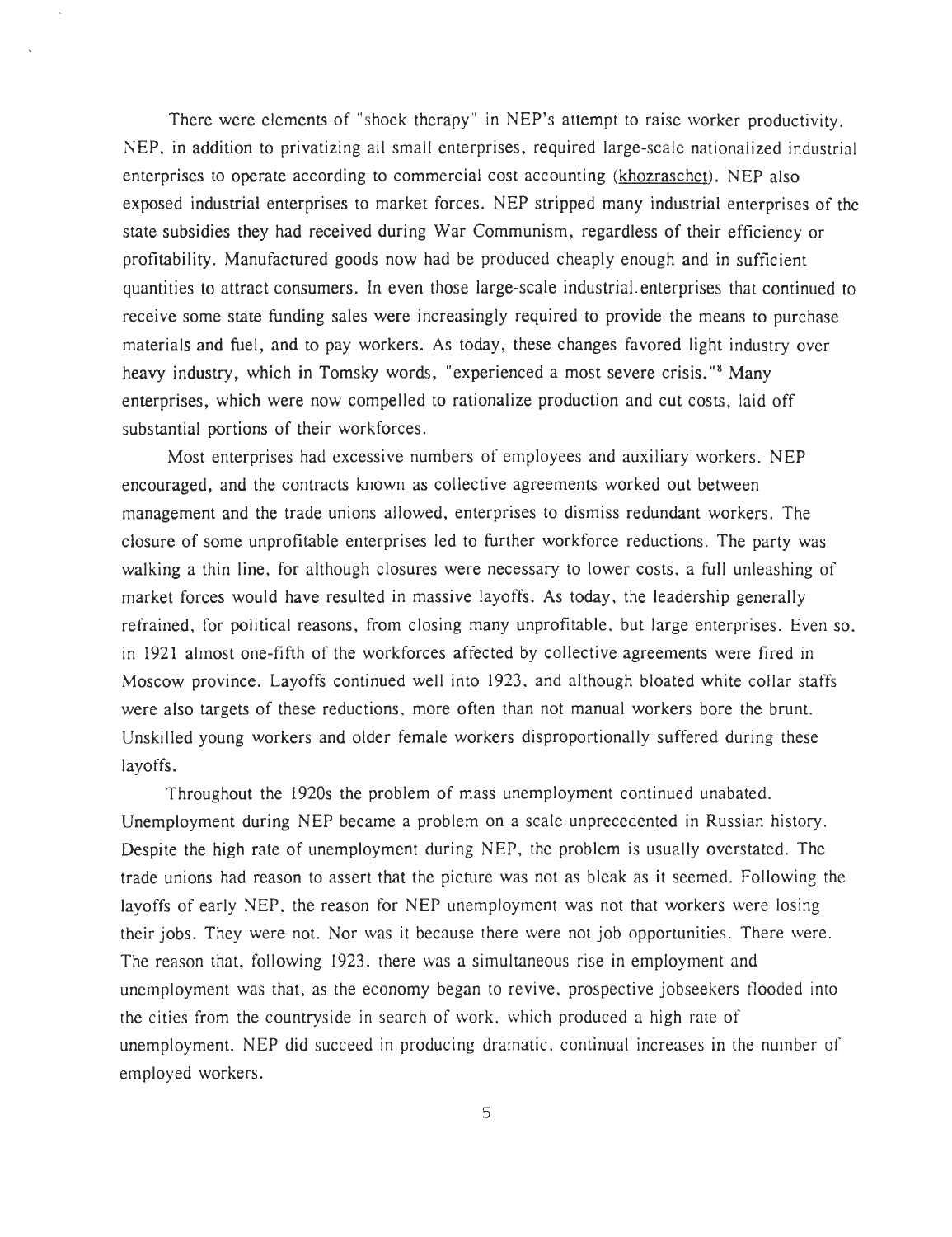There were elements of "shock therapy" in NEP's attempt to raise worker productivity. NEP, in addition to privatizing all small enterprises, required large-scale nationalized industrial enterprises to operate according to commercial cost accounting (khozraschet). NEP also exposed industrial enterprises to market forces. NEP stripped many industrial enterprises of the state subsidies they had received during War Communism, regardless of their efficiency or profitability. Manufactured goods now had be produced cheaply enough and in sufficient quantities to attract consumers. In even those large-scale industrial-enterprises that continued to receive some state funding sales were increasingly required to provide the means to purchase materials and fuel, and to pay workers. As today, these changes favored light industry over heavy industry, which in Tomsky words, "experienced a most severe crisis."<sup>8</sup> Many enterprises, which were now compelled to rationalize production and cut costs, laid off substantial portions of their workforces .

Most enterprises had excessive numbers of employees and auxiliary workers. NEP encouraged, and the contracts known as collective agreements worked out between management and the trade unions allowed, enterprises to dismiss redundant workers. The closure of some unprofitable enterprises led to further workforce reductions . The party was walking a thin line, for although closures were necessary to lower costs, a full unleashing of market forces would have resulted in massive layoffs . As today, the leadership generally refrained, for political reasons, from closing many unprofitable, but large enterprises. Even so, in 1921 almost one-fifth of the workforces affected by collective agreements were fired in Moscow province. Layoffs continued well into 1923, and although bloated white collar staffs were also targets of these reductions, more often than not manual workers bore the brunt. Unskilled young workers and older female workers disproportionally suffered during these layoffs.

Throughout the 1920s the problem of mass unemployment continued unabated . Unemployment during NEP became a problem on a scale unprecedented in Russian history . Despite the high rate of unemployment during NEP, the problem is usually overstated. The trade unions had reason to assert that the picture was not as bleak as it seemed. Following the layoffs of early NEP, the reason for NEP unemployment was not that workers were losing their jobs. They were not. Nor was it because there were not job opportunities. There were. The reason that, following 1923, there was a simultaneous rise in employment and unemployment was that, as the economy began to revive, prospective jobseekers flooded into the cities from the countryside in search of work, which produced a high rate of unemployment. NEP did succeed in producing dramatic, continual increases in the number of employed workers .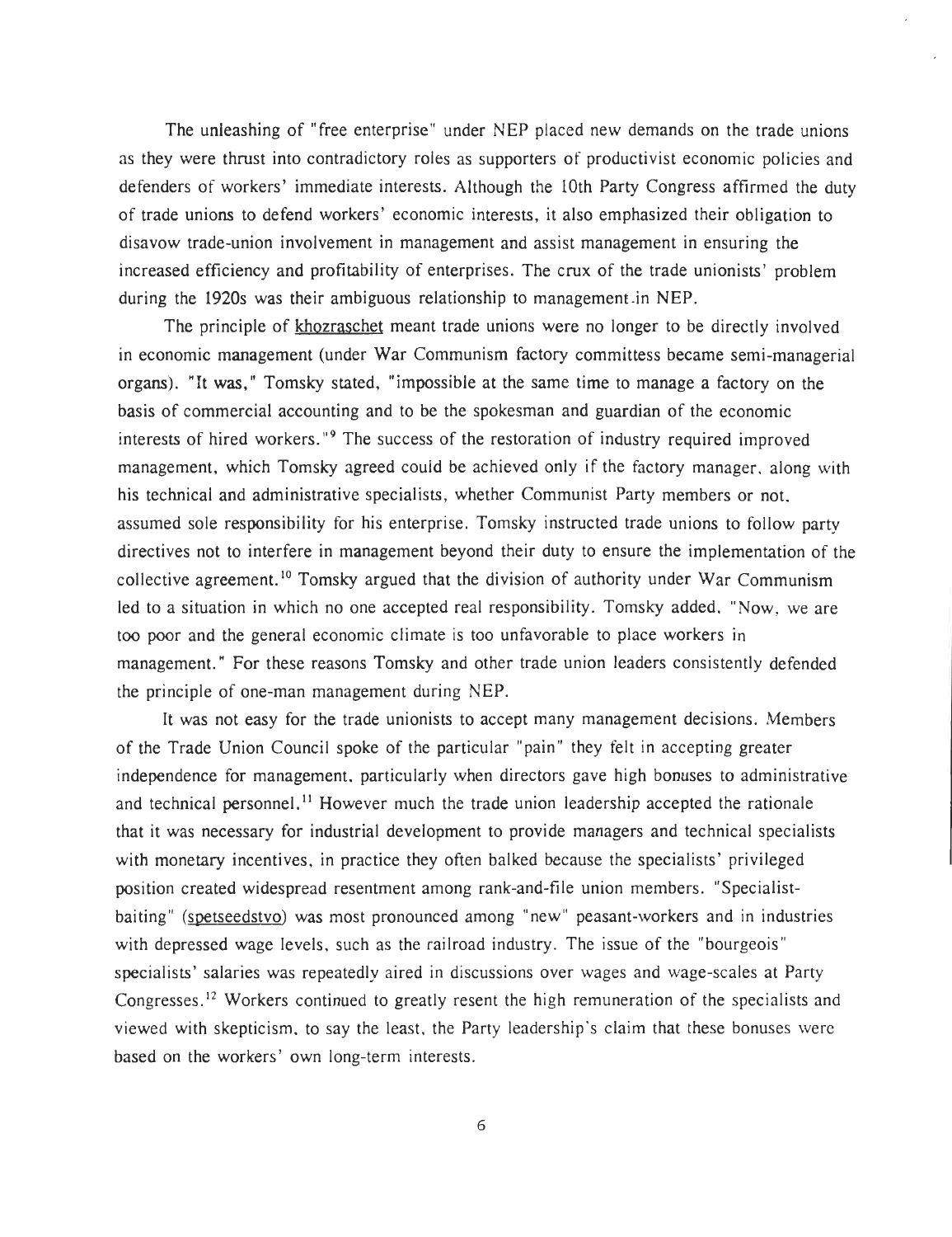The unleashing of "free enterprise" under NEP placed new demands on the trade unions as they were thrust into contradictory roles as supporters of productivist economic policies and defenders of workers' immediate interests. Although the 10th Party Congress affirmed the duty of trade unions to defend workers' economic interests, it also emphasized their obligation to disavow trade-union involvement in management and assist management in ensuring the increased efficiency and profitability of enterprises. The crux of the trade unionists' problem during the 1920s was their ambiguous relationship to management in NEP .

The principle of khozraschet meant trade unions were no longer to be directly involved in economic management (under War Communism factory committess became semi-managerial organs). "It was," Tomsky stated, "impossible at the same time to manage a factory on the basis of commercial accounting and to be the spokesman and guardian of the economic interests of hired workers."<sup>9</sup> The success of the restoration of industry required improved management, which Tomsky agreed could be achieved only if the factory manager, along with his technical and administrative specialists, whether Communist Party members or not. assumed sole responsibility for his enterprise. Tomsky instructed trade unions to follow party directives not to interfere in management beyond their duty to ensure the implementation of the collective agreement.<sup>10</sup> Tomsky argued that the division of authority under War Communism led to a situation in which no one accepted real responsibility. Tomsky added, "Now, we are too poor and the general economic climate is too unfavorable to place workers in management." For these reasons Tomsky and other trade union leaders consistently defended the principle of one-man management during NEP .

It was not easy for the trade unionists to accept many management decisions. Members of the Trade Union Council spoke of the particular "pain" they felt in accepting greater independence for management, particularly when directors gave high bonuses to administrative and technical personnel.<sup>11</sup> However much the trade union leadership accepted the rationale that it was necessary for industrial development to provide managers and technical specialists with monetary incentives, in practice they often balked because the specialists' privileged position created widespread resentment among rank-and-file union members . "Specialistbaiting" (spetseedstvo) was most pronounced among "new" peasant-workers and in industries with depressed wage levels, such as the railroad industry. The issue of the "bourgeois" specialists' salaries was repeatedly aired in discussions over wages and wage-scales at Party Congresses.<sup>12</sup> Workers continued to greatly resent the high remuneration of the specialists and viewed with skepticism, to say the least, the Party leadership's claim that these bonuses were based on the workers' own long-term interests .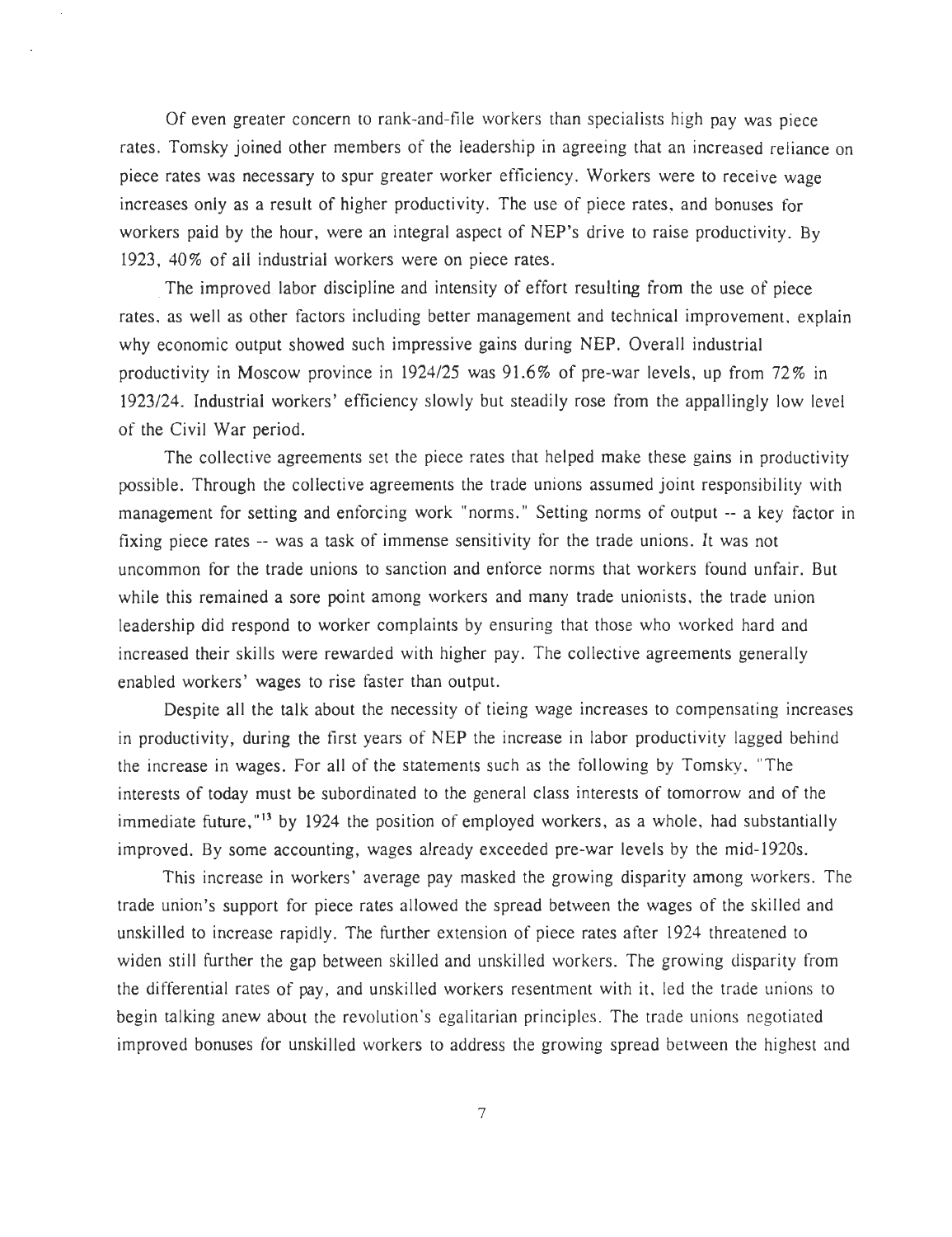Of even greater concern to rank-and-file workers than specialists high pay was piec e rates. Tomsky joined other members of the leadership in agreeing that an increased reliance on piece rates was necessary to spur greater worker efficiency. Workers were to receive wage increases only as a result of higher productivity. The use of piece rates, and bonuses for workers paid by the hour, were an integral aspect of  $NEP$ 's drive to raise productivity. By 1923, 40% of all industrial workers were on piece rates.

The improved labor discipline and intensity of effort resulting from the use of piece rates, as well as other factors including better management and technical improvement, explain why economic output showed such impressive gains during NEP. Overall industrial productivity in Moscow province in  $1924/25$  was  $91.6\%$  of pre-war levels, up from 72% in 1923/24. Industrial workers' efficiency slowly but steadily rose from the appallingly low level of the Civil War period.

The collective agreements set the piece rates that helped make these gains in productivity possible . Through the collective agreements the trade unions assumed joint responsibility with management for setting and enforcing work "norms." Setting norms of output -- a key factor in fixing piece rates -- was a task of immense sensitivity for the trade unions . It was not uncommon for the trade unions to sanction and enforce norms that workers found unfair. But while this remained a sore point among workers and many trade unionists, the trade union leadership did respond to worker complaints by ensuring that those who worked hard and increased their skills were rewarded with higher pay. The collective agreements generally enabled workers' wages to rise faster than output.

Despite all the talk about the necessity of tieing wage increases to compensating increases in productivity, during the first years of NEP the increase in labor productivity lagged behind the increase in wages. For all of the statements such as the following by Tomsky, The interests of today must be subordinated to the general class interests of tomorrow and of the immediate future, <sup>13</sup> by 1924 the position of employed workers, as a whole, had substantially improved. By some accounting, wages already exceeded pre-war levels by the mid-1920s.

This increase in workers' average pay masked the growing disparity among workers. The trade union's support for piece rates allowed the spread between the wages of the skilled and unskilled to increase rapidly. The further extension of piece rates after 1924 threatened to widen still further the gap between skilled and unskilled workers. The growing disparity from the differential rates of pay, and unskilled workers resentment with it, led the trade unions to begin talking anew about the revolution's egalitarian principles. The trade unions negotiated improved bonuses for unskilled workers to address the growing spread between the highest and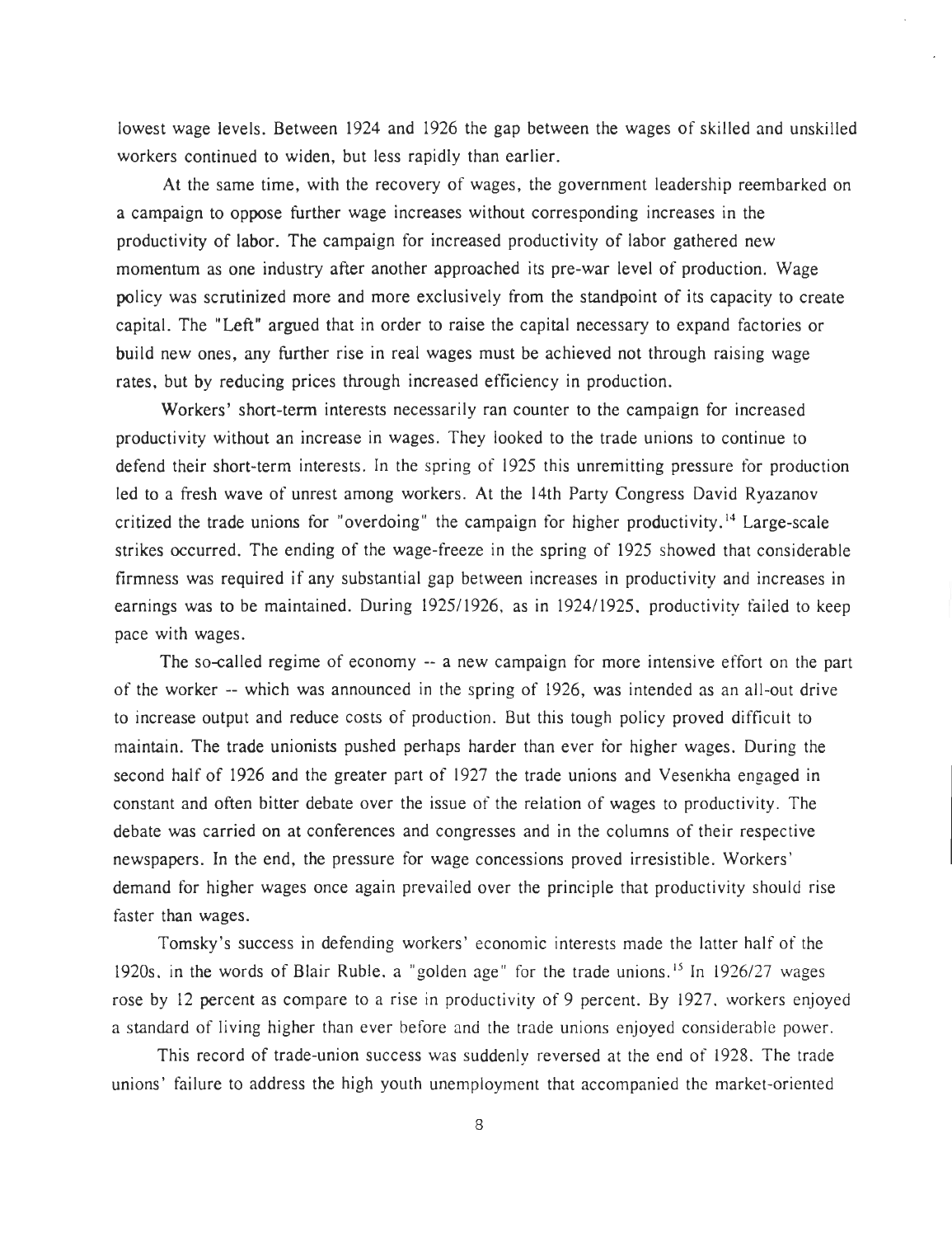lowest wage levels. Between 1924 and 1926 the gap between the wages of skilled and unskilled workers continued to widen, but less rapidly than earlier.

At the same time, with the recovery of wages, the government leadership reembarked on a campaign to oppose further wage increases without corresponding increases in the productivity of labor. The campaign for increased productivity of labor gathered new momentum as one industry after another approached its pre-war level of production. Wage policy was scrutinized more and more exclusively from the standpoint of its capacity to create capital. The "Left" argued that in order to raise the capital necessary to expand factories or build new ones, any further rise in real wages must be achieved not through raising wage rates, but by reducing prices through increased efficiency in production.

Workers' short-term interests necessarily ran counter to the campaign for increased productivity without an increase in wages. They looked to the trade unions to continue to defend their short-term interests. In the spring of 1925 this unremitting pressure for production led to a fresh wave of unrest among workers. At the 14th Party Congress David Ryazanov critized the trade unions for "overdoing" the campaign for higher productivity.<sup>14</sup> Large-scale strikes occurred. The ending of the wage-freeze in the spring of 1925 showed that considerable firmness was required if any substantial gap between increases in productivity and increases in earnings was to be maintained. During 1925/1926, as in 1924/1925, productivity failed to keep pace with wages.

The so-called regime of economy -- a new campaign for more intensive effort on the part of the worker -- which was announced in the spring of 1926, was intended as an all-out drive to increase output and reduce costs of production. But this tough policy proved difficult to maintain. The trade unionists pushed perhaps harder than ever for higher wages. During the second half of 1926 and the greater part of 1927 the trade unions and Vesenkha engaged in constant and often bitter debate over the issue of the relation of wages to productivity. The debate was carried on at conferences and congresses and in the columns of their respective newspapers . In the end, the pressure for wage concessions proved irresistible . Workers ' demand for higher wages once again prevailed over the principle that productivity should rise faster than wages.

Tomsky 's success in defending workers' economic interests made the latter half of the 1920s, in the words of Blair Ruble, a "golden age" for the trade unions.<sup>15</sup> In 1926/27 wages rose by 12 percent as compare to a rise in productivity of 9 percent. By 1927, workers enjoyed a standard of living higher than ever before and the trade unions enjoyed considerable power .

This record of trade-union success was suddenly reversed at the end of 1928. The trade unions' failure to address the high youth unemployment that accompanied the market-oriented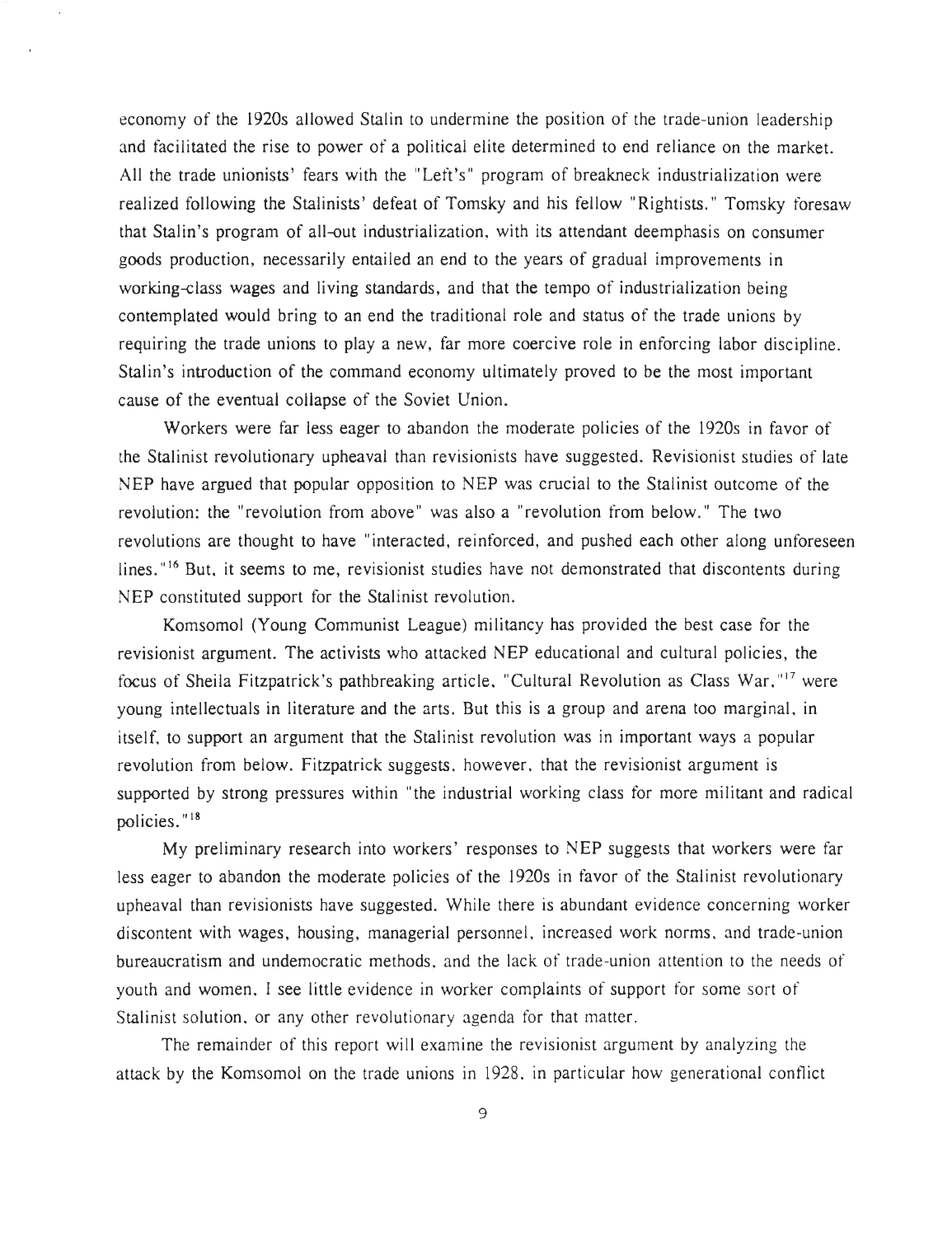economy of the 1920s allowed Stalin to undermine the position of the trade-union leadership and facilitated the rise to power of a political elite determined to end reliance on the market. All the trade unionists' fears with the "Left's" program of breakneck industrialization were realized following the Stalinists' defeat of Tomsky and his fellow "Rightists." Tomsky foresaw that Stalin's program of all-out industrialization, with its attendant deemphasis on consumer goods production, necessarily entailed an end to the years of gradual improvements in working-class wages and living standards, and that the tempo of industrialization being contemplated would bring to an end the traditional role and status of the trade unions by requiring the trade unions to play a new, far more coercive role in enforcing labor discipline. Stalin's introduction of the command economy ultimately proved to be the most important cause of the eventual collapse of the Soviet Union.

Workers were far less eager to abandon the moderate policies of the 1920s in favor of the Stalinist revolutionary upheaval than revisionists have suggested . Revisionist studies of late NEP have argued that popular opposition to NEP was crucial to the Stalinist outcome of the revolution: the "revolution from above" was also a "revolution from below." The two revolutions are thought to have "interacted, reinforced, and pushed each other along unforeseen lines."<sup>16</sup> But, it seems to me, revisionist studies have not demonstrated that discontents during NEP constituted support for the Stalinist revolution.

Komsomol (Young Communist League) militancy has provided the best case for the revisionist argument. The activists who attacked NEP educational and cultural policies, the focus of Sheila Fitzpatrick's pathbreaking article, "Cultural Revolution as Class War,"17 were young intellectuals in literature and the arts. But this is a group and arena too marginal, in itself, to support an argument that the Stalinist revolution was in important ways a popular revolution from below. Fitzpatrick suggests, however, that the revisionist argument is supported by strong pressures within "the industrial working class for more militant and radical policies."<sup>18</sup>

My preliminary research into workers' responses to NEP suggests that workers were far less eager to abandon the moderate policies of the 1920s in favor of the Stalinist revolutionary upheaval than revisionists have suggested. While there is abundant evidence concerning worker discontent with wages, housing, managerial personnel, increased work norms, and trade-union bureaucratism and undemocratic methods, and the lack of trade-union attention to the needs of youth and women, I see little evidence in worker complaints of support for some sort of Stalinist solution, or any other revolutionary agenda for that matter.

The remainder of this report will examine the revisionist argument by analyzing the attack by the Komsomol on the trade unions in 1928, in particular how generational conflict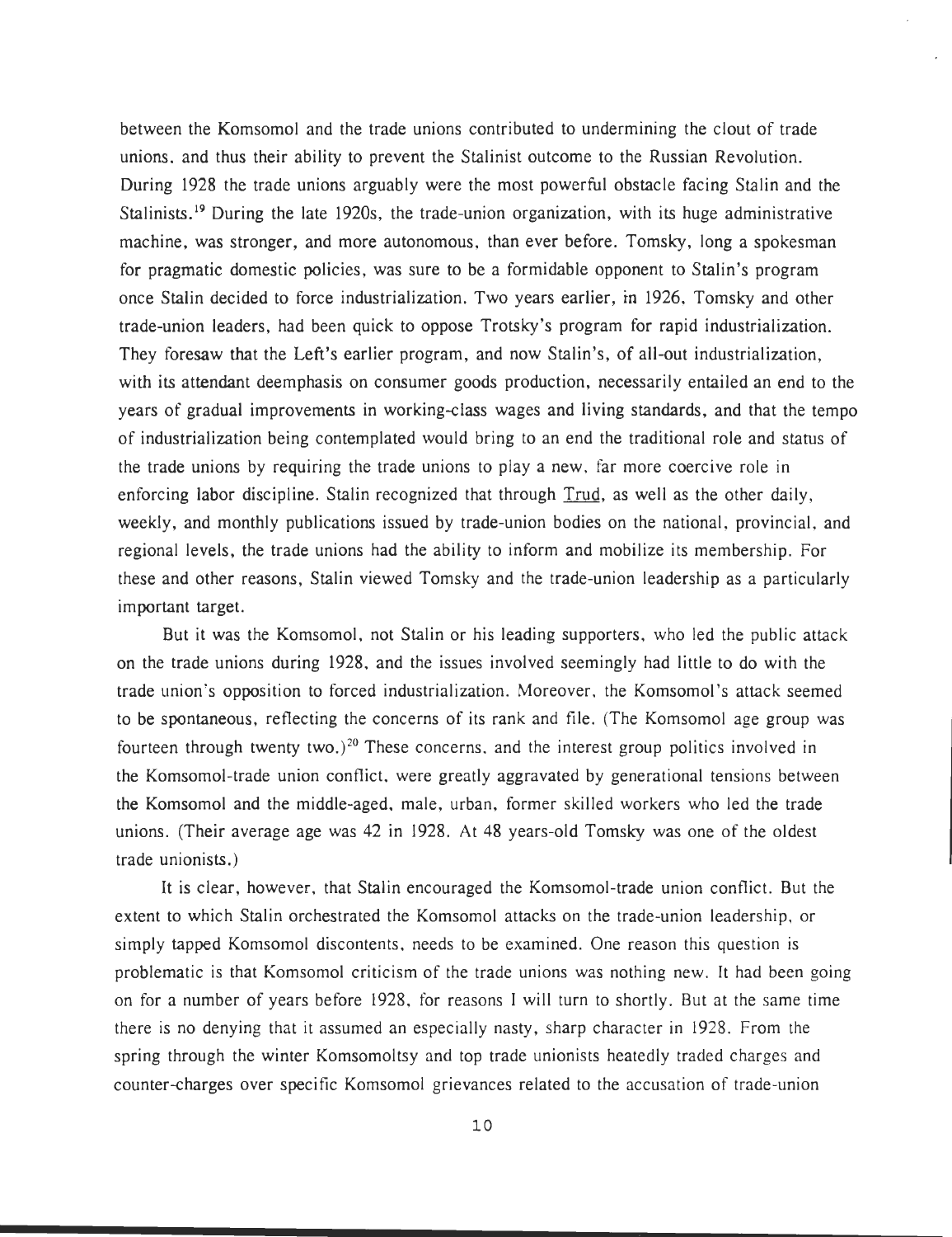between the Komsomol and the trade unions contributed to undermining the clout of trade unions, and thus their ability to prevent the Stalinist outcome to the Russian Revolution . During 1928 the trade unions arguably were the most powerful obstacle facing Stalin and the Stalinists.<sup>19</sup> During the late 1920s, the trade-union organization, with its huge administrative machine, was stronger, and more autonomous, than ever before. Tomsky, long a spokesman for pragmatic domestic policies, was sure to be a formidable opponent to Stalin's program once Stalin decided to force industrialization. Two years earlier, in 1926, Tomsky and other trade-union leaders, had been quick to oppose Trotsky's program for rapid industrialization . They foresaw that the Left's earlier program, and now Stalin's, of all-out industrialization, with its attendant deemphasis on consumer goods production, necessarily entailed an end to the years of gradual improvements in working-class wages and living standards, and that the tempo of industrialization being contemplated would bring to an end the traditional role and status of the trade unions by requiring the trade unions to play a new, far more coercive role in enforcing labor discipline. Stalin recognized that through Trud, as well as the other daily, weekly, and monthly publications issued by trade-union bodies on the national, provincial, and regional levels, the trade unions had the ability to inform and mobilize its membership . For these and other reasons, Stalin viewed Tomsky and the trade-union leadership as a particularly important target.

But it was the Komsomol, not Stalin or his leading supporters, who led the public attack on the trade unions during 1928, and the issues involved seemingly had little to do with the trade union's opposition to forced industrialization. Moreover, the Komsomol's attack seemed to be spontaneous, reflecting the concerns of its rank and file. (The Komsomol age group was fourteen through twenty two.)<sup>20</sup> These concerns, and the interest group politics involved in the Komsomol-trade union conflict, were greatly aggravated by generational tensions between the Komsomol and the middle-aged, male, urban, former skilled workers who led the trade unions. (Their average age was 42 in 1928 . At 48 years-old Tomsky was one of the oldest trade unionists. )

It is clear, however, that Stalin encouraged the Komsomol-trade union conflict . But the extent to which Stalin orchestrated the Komsomol attacks on the trade-union leadership, or simply tapped Komsomol discontents, needs to be examined. One reason this question is problematic is that Komsomol criticism of the trade unions was nothing new. It had been going on for a number of years before 1928, for reasons I will turn to shortly . But at the same time there is no denying that it assumed an especially nasty, sharp character in 1928 . From the spring through the winter Komsomoltsy and top trade unionists heatedly traded charges and counter-charges over specific Komsomol grievances related to the accusation of trade-union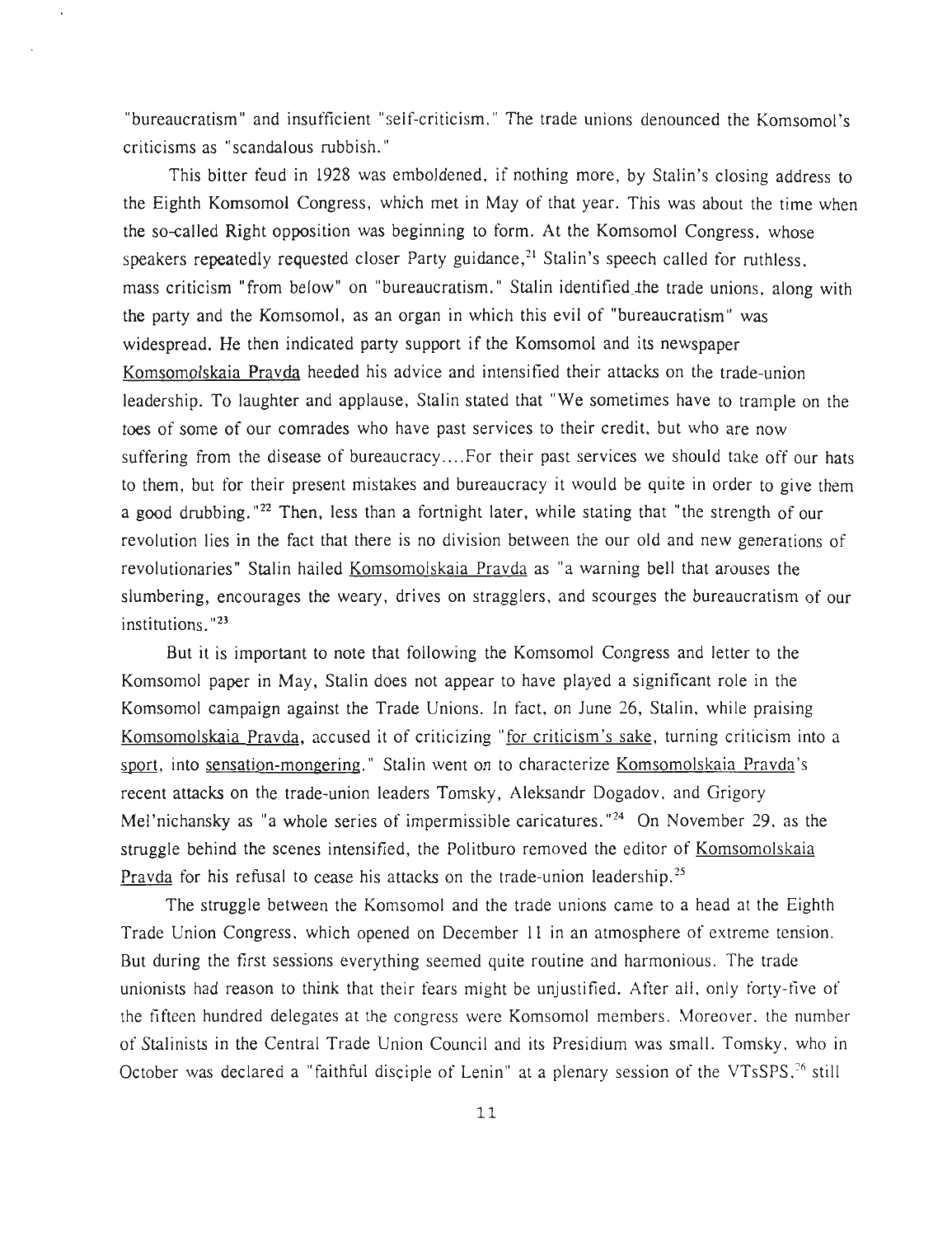"bureaucratism" and insufficient "self-criticism." The trade unions denounced the Komsomol's criticisms as " scandalous rubbish . "

This bitter feud in 1928 was emboldened, if nothing more, by Stalin's closing address to the Eighth Komsomol Congress, which met in May of that year. This was about the time when the so-called Right opposition was beginning to form . At the Komsomol Congress, whose speakers repeatedly requested closer Party guidance,<sup>21</sup> Stalin's speech called for ruthless. mass criticism "from below" on "bureaucratism." Stalin identified the trade unions, along with the party and the Komsomol, as an organ in which this evil of "bureaucratism" was widespread. He then indicated party support if the Komsomol and its newspaper Komsomolskaia Pravda heeded his advice and intensified their attacks on the trade-union leadership. To laughter and applause, Stalin stated that "We sometimes have to trample on the toes of some of our comrades who have past services to their credit, but who are now suffering from the disease of bureaucracy....For their past services we should take off our hats to them, but for their present mistakes and bureaucracy it would be quite in order to give them a good drubbing."<sup>22</sup> Then, less than a fortnight later, while stating that "the strength of our revolution lies in the fact that there is no division between the our old and new generations of revolutionaries" Stalin hailed Komsomolskaia Pravda as "a warning bell that arouses the slumbering, encourages the weary, drives on stragglers, and scourges the bureaucratism of our  $institutions.$   $"23"$ 

But it is important to note that following the Komsomol Congress and letter to the Komsomol paper in May, Stalin does not appear to have played a significant role in the Komsomol campaign against the Trade Unions. In fact, on June 26, Stalin, while praising Komsomolskaia Pravda, accused it of criticizing "for criticism's sake, turning criticism into a sport, into sensation-mongering." Stalin went on to characterize Komsomolskaia Pravda's recent attacks on the trade-union leaders Tomsky, Aleksandr Dogadov, and Grigory Mel'nichansky as "a whole series of impermissible caricatures."<sup>24</sup> On November 29, as the struggle behind the scenes intensified, the Politburo removed the editor of Komsomolskaia Pravda for his refusal to cease his attacks on the trade-union leadership.<sup>25</sup>

The struggle between the Komsomol and the trade unions came to a head at the Eighth Trade Union Congress, which opened on December 11 in an atmosphere of extreme tension . But during the first sessions everything seemed quite routine and harmonious . The trade unionists had reason to think that their fears might be unjustified. After all, only forty-five of the fifteen hundred delegates at the congress were Komsomol members. Moreover, the number of Stalinists in the Central Trade Union Council and its Presidium was small. Tomsky, who in October was declared a "faithful disciple of Lenin" at a plenary session of the VTsSPS.<sup>26</sup> still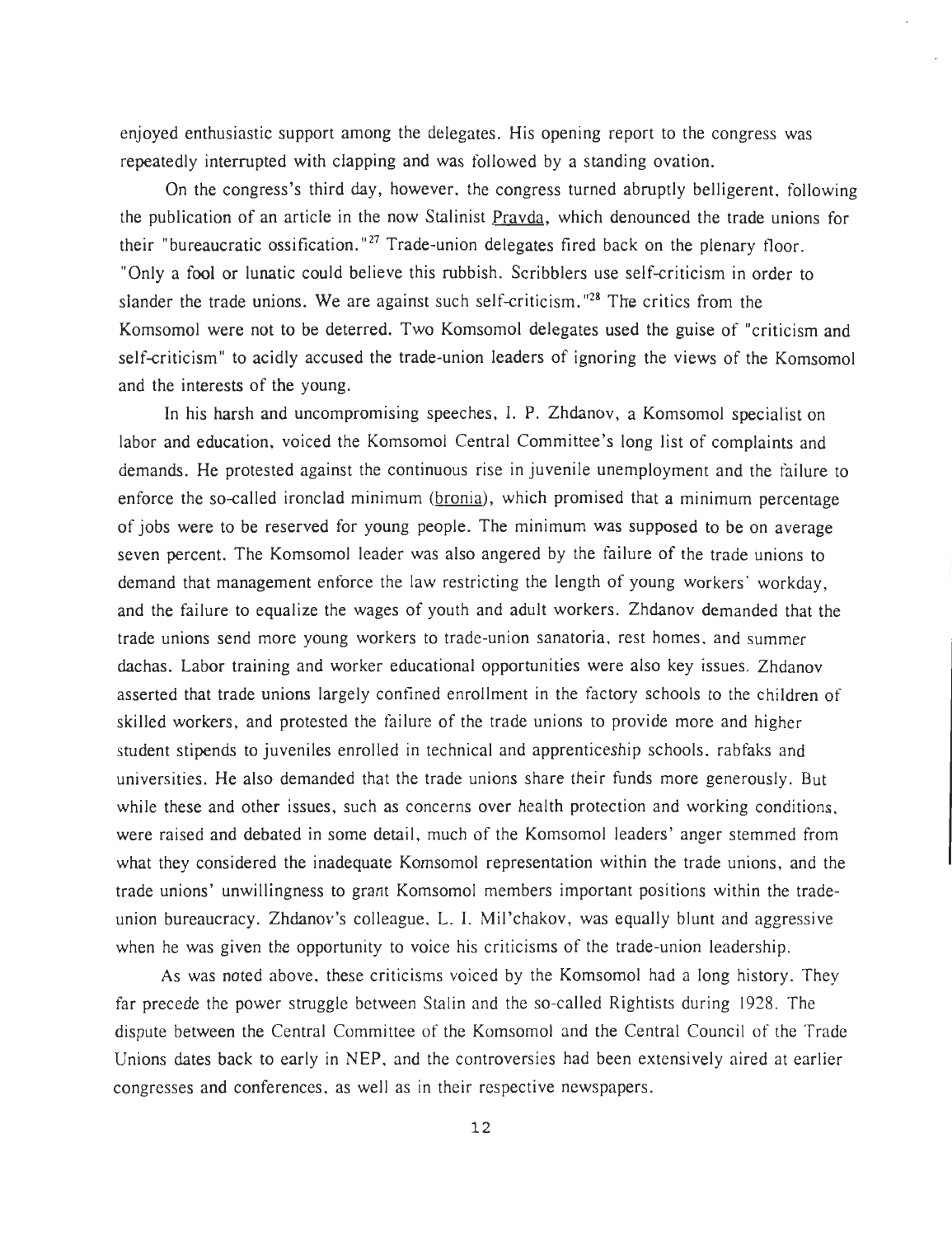enjoyed enthusiastic support among the delegates. His opening report to the congress was repeatedly interrupted with clapping and was followed by a standing ovation.

On the congress's third day, however, the congress turned abruptly belligerent, following the publication of an article in the now Stalinist Pravda, which denounced the trade unions for their "bureaucratic ossification."<sup>27</sup> Trade-union delegates fired back on the plenary floor. "Only a fool or lunatic could believe this rubbish. Scribblers use self-criticism in order to slander the trade unions. We are against such self-criticism. "<sup>28</sup> The critics from the Komsomol were not to be deterred. Two Komsomol delegates used the guise of "criticism and self-criticism" to acidly accused the trade-union leaders of ignoring the views of the Komsomol and the interests of the young.

In his harsh and uncompromising speeches, I. P. Zhdanov, a Komsomol specialist on labor and education, voiced the Komsomol Central Committee's long list of complaints and demands. He protested against the continuous rise in juvenile unemployment and the failure to enforce the so-called ironclad minimum (bronia), which promised that a minimum percentage of jobs were **to** be reserved for young people . The minimum was supposed to be on average seven percent. The Komsomol leader was also angered by the failure of the trade unions to demand that management enforce the law restricting the length of young workers' workday , and the failure to equalize the wages of youth and adult workers. Zhdanov demanded that the trade unions send more young workers to trade-union sanatoria, rest homes, and summer dachas. Labor training and worker educational opportunities were also key issues. Zhdanov asserted that trade unions largely confined enrollment in the factory schools to the children of skilled workers, and protested the failure of the trade unions to provide more and higher student stipends to juveniles enrolled in technical and apprenticeship schools, rabfaks and universities. He also demanded that the trade unions share their funds more generously . But while these and other issues, such as concerns over health protection and working conditions, were raised and debated in some detail, much of the Komsomol leaders' anger stemmed from what they considered the inadequate Komsomol representation within the trade unions, and the trade unions' unwillingness to grant Komsomol members important positions within the trade union bureaucracy. Zhdanov's colleague, L. I. Mil'chakov, was equally blunt and aggressive when he was given the opportunity to voice his criticisms of the trade-union leadership.

As was noted above, these criticisms voiced by the Komsomol had a long history . They far precede the power struggle between Stalin and the so-called Rightists during 1928. The dispute between the Central Committee of the Komsomol and the Central Council of the Trade Unions dates back to early in NEP, and the controversies had been extensively aired at earlier congresses and conferences, as well as in their respective newspapers .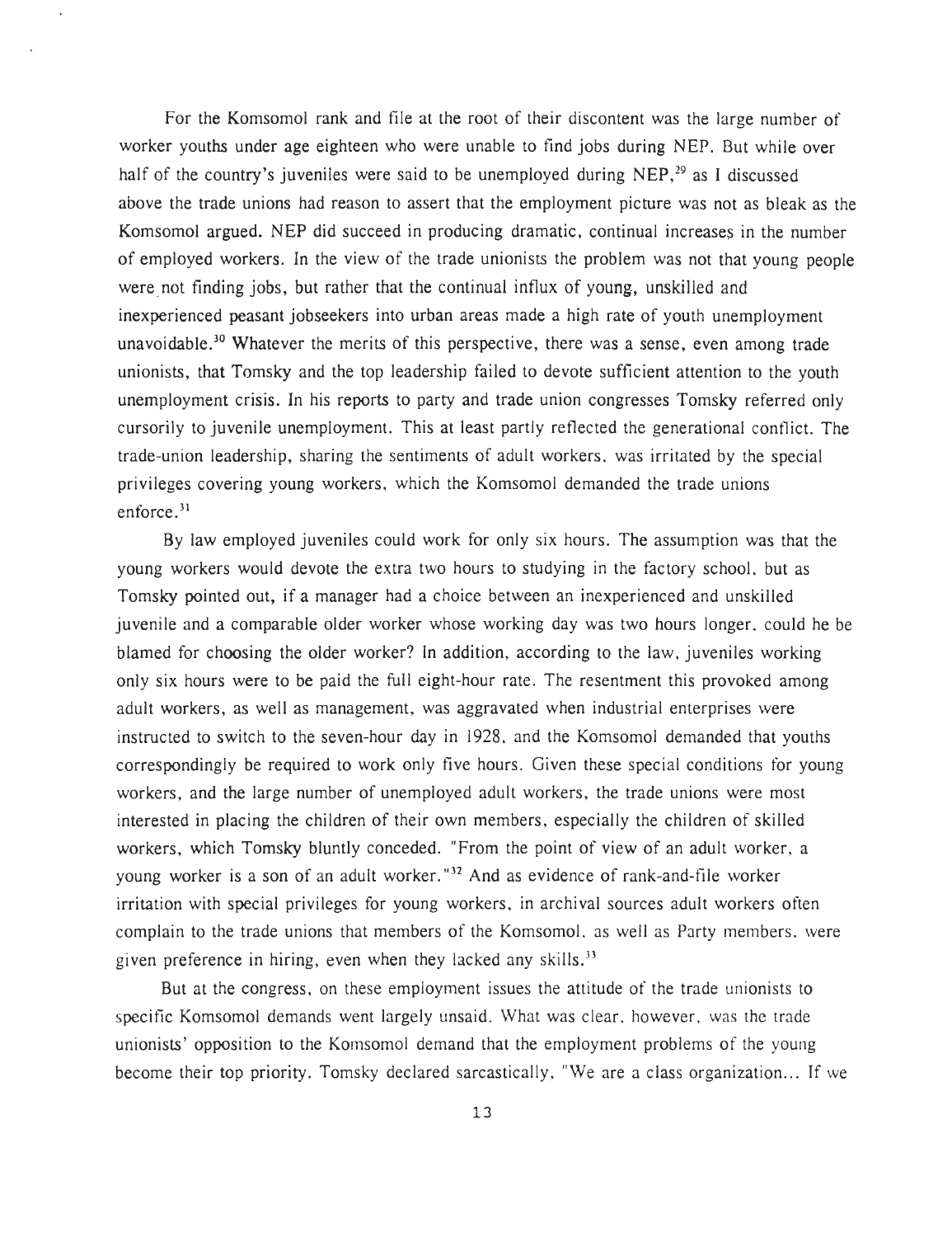For the Komsomol rank and file at the root of their discontent was the large number of worker youths under age eighteen who were unable to find jobs during NEP . But while over half of the country's juveniles were said to be unemployed during  $NEP<sub>1</sub><sup>29</sup>$  as I discussed above the trade unions had reason to assert that the employment picture was not as bleak as the Komsomol argued. NEP did succeed in producing dramatic, continual increases in the number of employed workers. In the view of the trade unionists the problem was not that young people were not finding jobs, but rather that the continual influx of young, unskilled and inexperienced peasant jobseekers into urban areas made a high rate of youth unemployment unavoidable.<sup>30</sup> Whatever the merits of this perspective, there was a sense, even among trade unionists, that Tomsky and the top leadership failed to devote sufficient attention to the youth unemployment crisis. In his reports to party and trade union congresses Tomsky referred only cursorily to juvenile unemployment. This at least partly reflected the generational conflict. The trade-union leadership, sharing the sentiments of adult workers, was irritated by the specia <sup>l</sup> privileges covering young workers, which the Komsomol demanded the trade unions enforce. $31$ 

By law employed juveniles could work for only six hours. The assumption was that the young workers would devote the extra two hours to studying in the factory school, but as Tomsky pointed out, if a manager had a choice between an inexperienced and unskilled juvenile and a comparable older worker whose working day was two hours longer, could he be blamed for choosing the older worker? In addition, according to the law, juveniles working only six hours were to be paid the full eight-hour rate. The resentment this provoked among adult workers, as well as management, was aggravated when industrial enterprises were instructed to switch to the seven-hour day in 1928, and the Komsomol demanded that youths correspondingly be required to work only five hours. Given these special conditions for young workers, and the large number of unemployed adult workers, the trade unions were most interested in placing the children of their own members, especially the children of skilled workers, which Tomsky bluntly conceded. "From the point of view of an adult worker, a young worker is a son of an adult worker."<sup>32</sup> And as evidence of rank-and-file worker irritation with special privileges for young workers, in archival sources adult workers often complain to the trade unions that members of the Komsomol, as well as Party members, were given preference in hiring, even when they lacked any skills. $33$ 

But at the congress, on these employment issues the attitude of the trade unionists to specific Komsomol demands went largely unsaid. What was clear, however, was the trade unionists' opposition to the Komsomol demand that the employment problems of the young become their top priority. Tomsky declared sarcastically, "We are a class organization... If we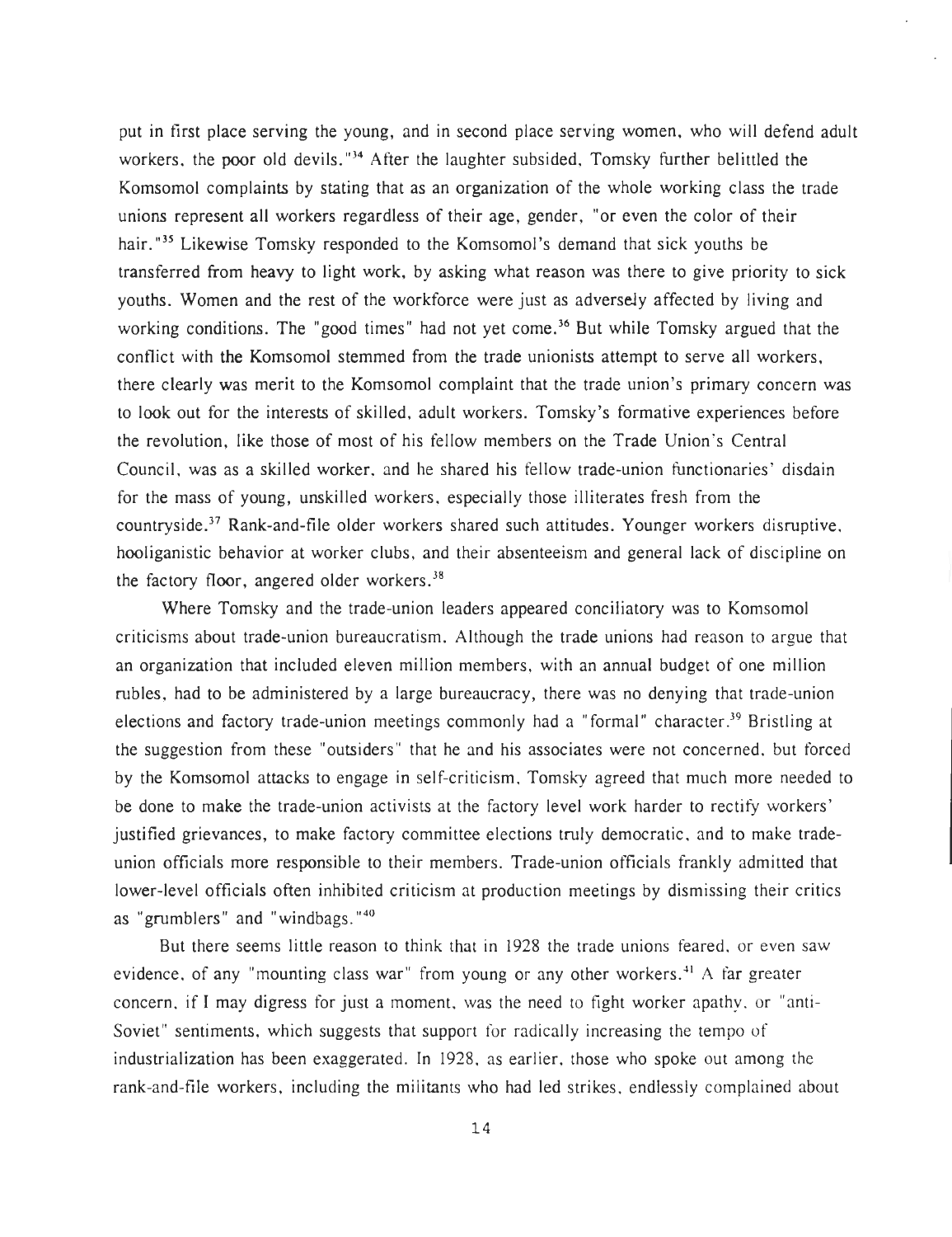put in first place serving the young, and in second place serving women, who will defend adult workers, the poor old devils."<sup>34</sup> After the laughter subsided, Tomsky further belittled the Komsomol complaints by stating that as an organization of the whole working class the trade unions represent all workers regardless of their age, gender, "or even the color of their hair.<sup>"35</sup> Likewise Tomsky responded to the Komsomol's demand that sick youths be transferred from heavy to light work, by asking what reason was there to give priority to sick youths. Women and the rest of the workforce were just as adversely affected by living and working conditions. The "good times" had not yet come.<sup>36</sup> But while Tomsky argued that the conflict with the Komsomol stemmed from the trade unionists attempt to serve all workers, there clearly was merit to the Komsomol complaint that the trade union's primary concern was to look out for the interests of skilled, adult workers. Tomsky's formative experiences before the revolution, like those of most of his fellow members on the Trade Union's Central Council, was as a skilled worker, and he shared his fellow trade-union functionaries' disdain for the mass of young, unskilled workers, especially those illiterates fresh from the countryside.<sup>37</sup> Rank-and-file older workers shared such attitudes. Younger workers disruptive, hooliganistic behavior at worker clubs, and their absenteeism and general lack of discipline on the factory floor, angered older workers.<sup>38</sup>

Where Tomsky and the trade-union leaders appeared conciliatory was to Komsomol criticisms about trade-union bureaucratism. Although the trade unions had reason to argue that an organization that included eleven million members, with an annual budget of one million rubles, had to be administered by a large bureaucracy, there was no denying that trade-union elections and factory trade-union meetings commonly had a "formal" character.<sup>39</sup> Bristling at the suggestion from these "outsiders" that he and his associates were not concerned, but forced by the Komsomol attacks to engage in self-criticism, Tomsky agreed that much more needed to be done to make the trade-union activists at the factory level work harder to rectify workers ' justified grievances, to make factory committee elections truly democratic, and to make tradeunion officials more responsible to their members. Trade-union officials frankly admitted that lower-level officials often inhibited criticism at production meetings by dismissing their critics as "grumblers" and "windbags. "40

But there seems little reason to think that in 1928 the trade unions feared, or even saw evidence, of any "mounting class war" from young or any other workers.<sup>41</sup> A far greater concern, if I may digress for just a moment, was the need to fight worker apathy, or "anti-Soviet" sentiments, which suggests that support for radically increasing the tempo of industrialization has been exaggerated. In 1928, as earlier, those who spoke out among the rank-and-file workers, including the militants who had led strikes, endlessly complained about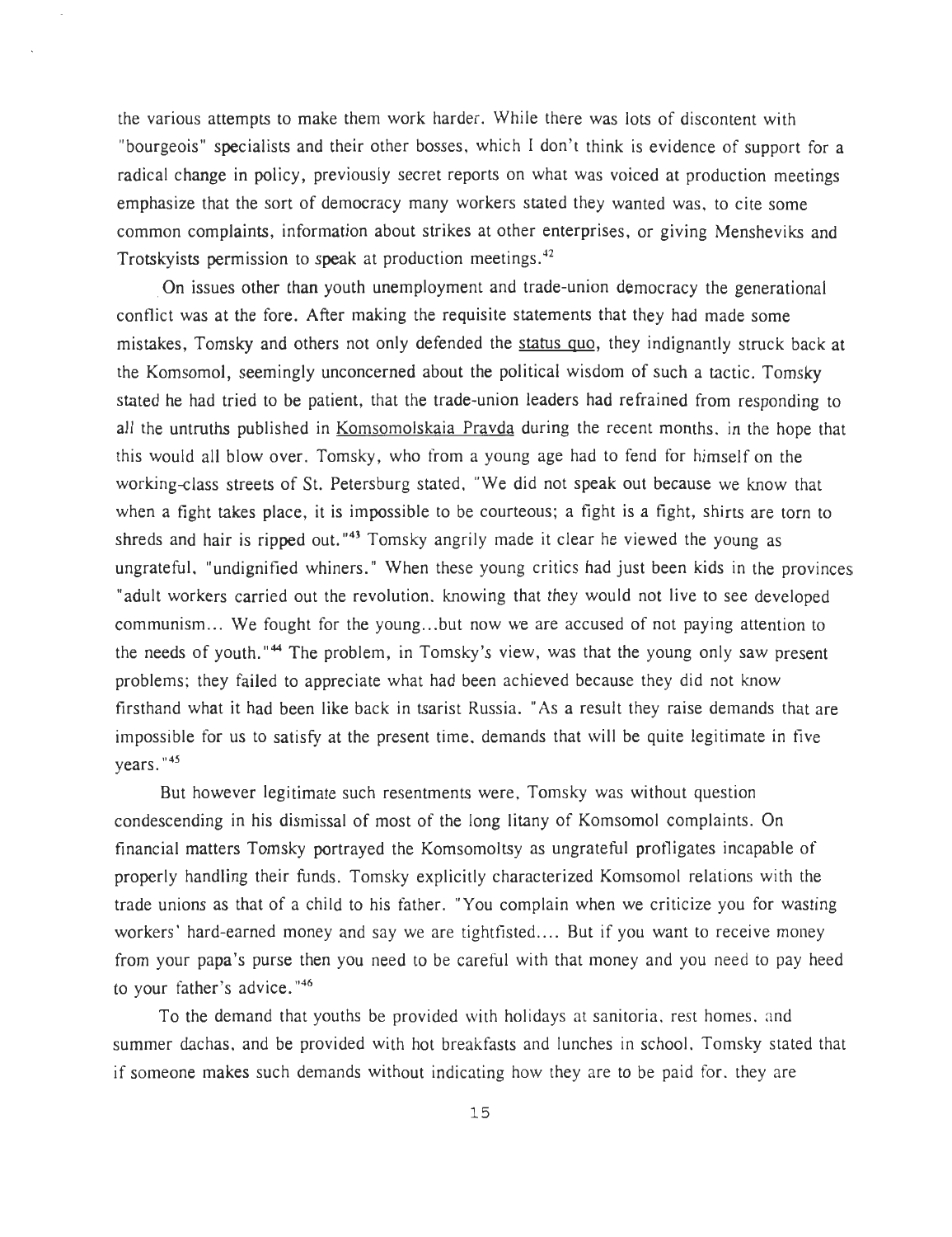the various attempts to make them work harder. While there was lots of discontent with "bourgeois" specialists and their other bosses, which I don't think is evidence of support for a radical change in policy, previously secret reports on what was voiced at production meetings emphasize that the sort of democracy many workers stated they wanted was, to cite some common complaints, information about strikes at other enterprises, or giving Mensheviks and Trotskyists permission to speak at production meetings. $42$ 

On issues other than youth unemployment and trade-union democracy the generational conflict was at the fore. After making the requisite statements that they had made some mistakes, Tomsky and others not only defended the status quo, they indignantly struck back at the Komsomol, seemingly unconcerned about the political wisdom of such a tactic. Tomsky stated he had tried to be patient, that the trade-union leaders had refrained from responding to all the untruths published in Komsomolskaia Pravda during the recent months, in the hope that this would all blow over. Tomsky, who from a young age had to fend for himself on the working-class streets of St. Petersburg stated, "We did not speak out because we know that when a fight takes place, it is impossible to be courteous; a fight is a fight, shirts are torn to shreds and hair is ripped out."<sup>43</sup> Tomsky angrily made it clear he viewed the young as ungrateful, "undignified whiners." When these young critics had just been kids in the provinces "adult workers carried out the revolution, knowing that they would not live to see developed communism... We fought for the young...but now we are accused of not paying attention to the needs of youth."<sup>44</sup> The problem, in Tomsky's view, was that the young only saw present problems; they failed to appreciate what had been achieved because they did not know firsthand what it had been like back in tsarist Russia. "As a result they raise demands that are impossible for us to satisfy at the present time, demands that will be quite legitimate in five years. "45

But however legitimate such resentments were, Tomsky was without question condescending in his dismissal of most of the long litany of Komsomol complaints. On financial matters Tomsky portrayed the Komsomoltsy as ungrateful profligates incapable of properly handling their funds. Tomsky explicitly characterized Komsomol relations with the trade unions as that of a child to his father. You complain when we criticize you for wasting workers' hard-earned money and say we are tightfisted.... But if you want to receive money from your papa's purse then you need to be careful with that money and you need to pay heed to your father's advice."<sup>46</sup>

To the demand that youths be provided with holidays at sanitoria, rest homes, and summer dachas, and be provided with hot breakfasts and lunches in school. Tomsky stated that if someone makes such demands without indicating how they are to be paid for, they are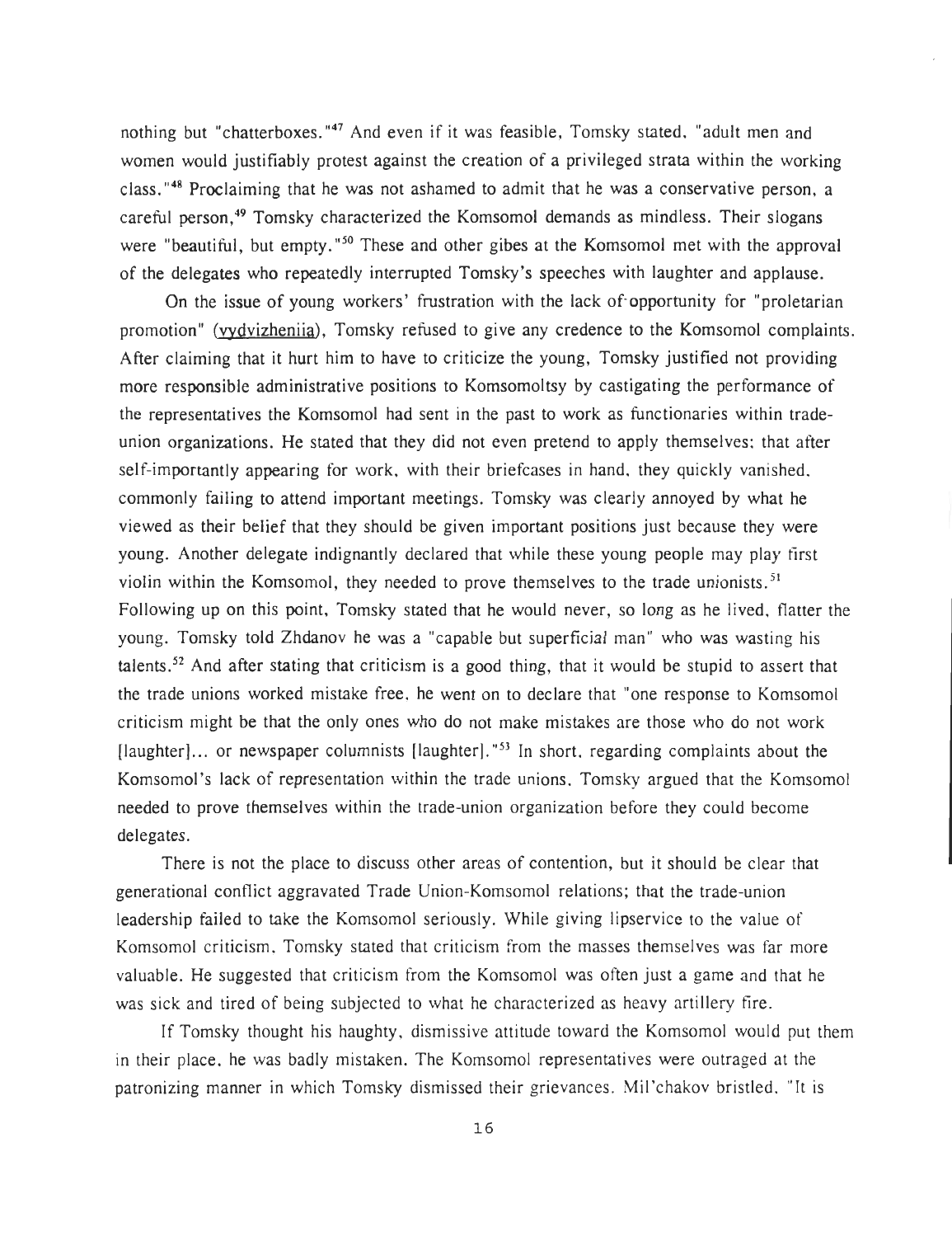nothing but "chatterboxes . **"47** And even if it was feasible, Tomsky stated, "adult men and women would justifiably protest against the creation of a privileged strata within the working class. **"48** Proclaiming that he was not ashamed to admit that he was a conservative person, a careful person, **<sup>49</sup>** Tomsky characterized the Komsomol demands as mindless. Their slogans were "beautiful, but empty, "<sup>50</sup> These and other gibes at the Komsomol met with the approval of the delegates who repeatedly interrupted Tomsky's speeches with laughter and applause .

On the issue of young workers' frustration with the lack of opportunity for "proletarian" promotion" (vydvizheniia), Tomsky refused to give any credence to the Komsomol complaints. After claiming that it hurt him to have to criticize the young, Tomsky justified not providing more responsible administrative positions to Komsomoltsy by castigating the performance of the representatives the Komsomol had sent in the past to work as functionaries within trade union organizations . He stated that they did not even pretend to apply themselves: that after self-importantly appearing for work, with their briefcases in hand, they quickly vanished, commonly failing to attend important meetings. Tomsky was clearly annoyed by what he viewed as their belief that they should be given important positions just because they were young. Another delegate indignantly declared that while these young people may play first violin within the Komsomol, they needed to prove themselves to the trade unionists.<sup>51</sup> Following up on this point, Tomsky stated that he would never, so long as he lived, flatter the young. Tomsky told Zhdanov he was a "capable but superficial man" who was wasting his talents.<sup>52</sup> And after stating that criticism is a good thing, that it would be stupid to assert that the trade unions worked mistake free, he went on to declare that "one response to Komsomol criticism might be that the only ones who do not make mistakes are those who do not work [laughter]... or newspaper columnists [laughter]."<sup>53</sup> In short, regarding complaints about the Komsomol's lack of representation within the trade unions, Tomsky argued that the Komsomol needed to prove themselves within the trade-union organization before they could become delegates.

There is not the place to discuss other areas of contention, but it should be clear that generational conflict aggravated Trade Union-Komsomol relations; that the trade-union leadership failed to take the Komsomol seriously. While giving lipservice to the value of Komsomol criticism, Tomsky stated that criticism from the masses themselves was far more valuable. He suggested that criticism from the Komsomol was often just a game and that he was sick and tired of being subjected to what he characterized as heavy artillery fire .

If Tomsky thought his haughty, dismissive attitude toward the Komsomol would put them in their place, he was badly mistaken. The Komsomol representatives were outraged at the patronizing manner in which Tomsky dismissed their grievances . Mil'chakov bristled, "It is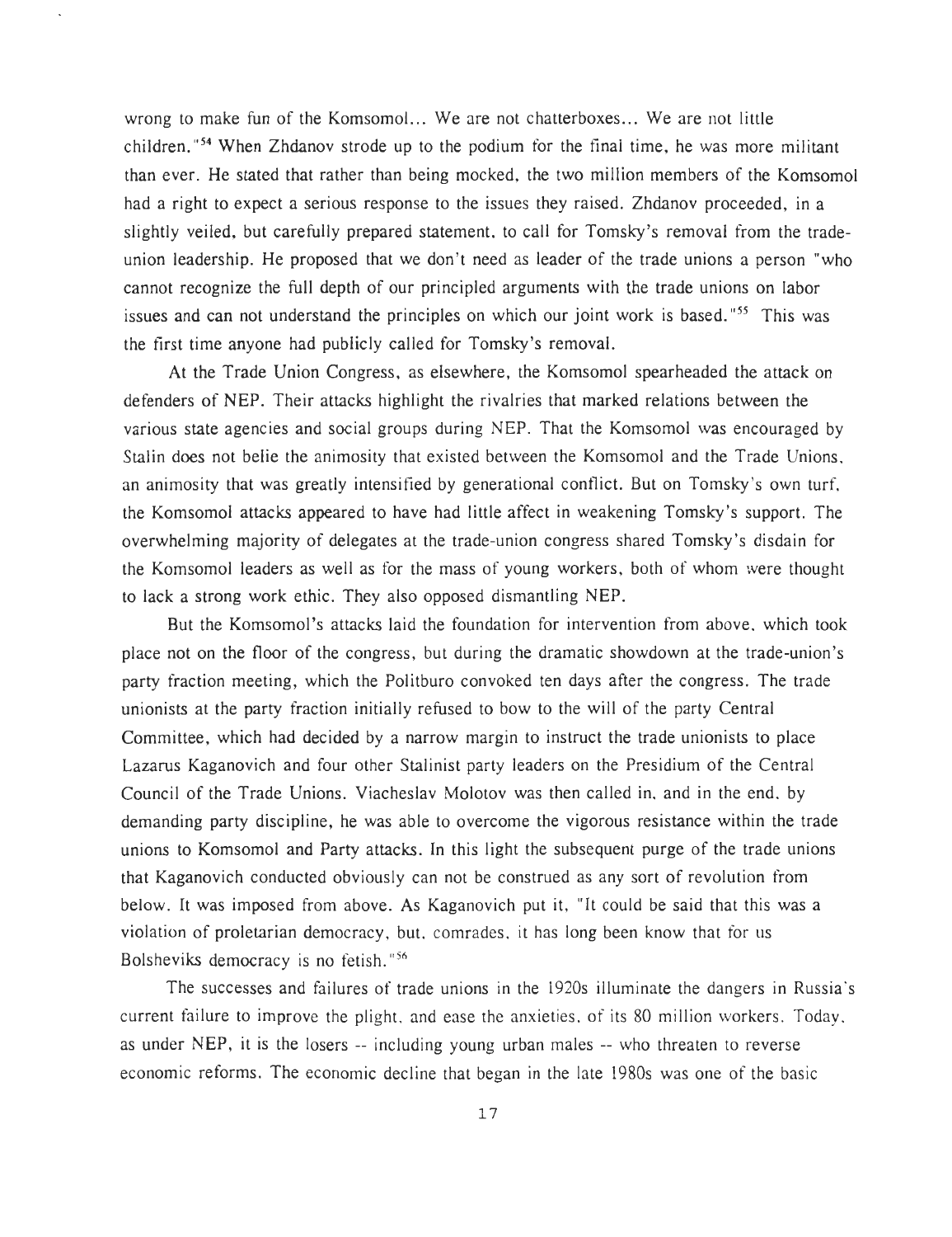wrong to make fun of the Komsomol... We are not chatterboxes... We are not little children."<sup>54</sup> When Zhdanov strode up to the podium for the final time, he was more militant than ever. He stated that rather than being mocked, the two million members of the Komsomol had a right to expect a serious response to the issues they raised. Zhdanov proceeded, in a slightly veiled, but carefully prepared statement, to call for Tomsky's removal from the trade union leadership. He proposed that we don't need as leader of the trade unions a person "who cannot recognize the full depth of our principled arguments with the trade unions on labor issues and can not understand the principles on which our joint work is based."55 This was the first time anyone had publicly called for Tomsky's removal .

At the Trade Union Congress, as elsewhere, the Komsomol spearheaded the attack on defenders of NEP. Their attacks highlight the rivalries that marked relations between the various state agencies and social groups during NEP. That the Komsomol was encouraged by Stalin does not belie the animosity that existed between the Komsomol and the Trade Unions, an animosity that was greatly intensified by generational conflict. But on Tomsky's own turf, the Komsomol attacks appeared to have had little affect in weakening Tomsky's support . The overwhelming majority of delegates at the trade-union congress shared Tomsky's disdain for the Komsomol leaders as well as for the mass of young workers, both of whom were thought to lack a strong work ethic. They also opposed dismantling NEP.

But the Komsomol's attacks laid the foundation for intervention from above, which took place not on the floor of the congress, but during the dramatic showdown at the trade-union's party fraction meeting, which the Politburo convoked ten days after the congress. The trade unionists at the party fraction initially refused to bow to the will of the party Central Committee, which had decided by a narrow margin to instruct the trade unionists to place Lazarus Kaganovich and four other Stalinist party leaders on the Presidium of the Central Council of the Trade Unions. Viacheslav Molotov was then called in, and in the end, by demanding party discipline, he was able to overcome the vigorous resistance within the trade unions to Komsomol and Party attacks. In this light the subsequent purge of the trade unions that Kaganovich conducted obviously can not be construed as any sort of revolution from below. It was imposed from above. As Kaganovich put it, "It could be said that this was a violation of proletarian democracy, but, comrades, it has long been know that for us Bolsheviks democracy is no fetish. "<sup>56</sup>

The successes and failures of trade unions in the 1920s illuminate the dangers in Russia's current failure to improve the plight, and ease the anxieties, of its 80 million workers. Today, as under NEP, it is the losers -- including young urban males -- who threaten to reverse economic reforms. The economic decline that began in the late 1980s was one of the basic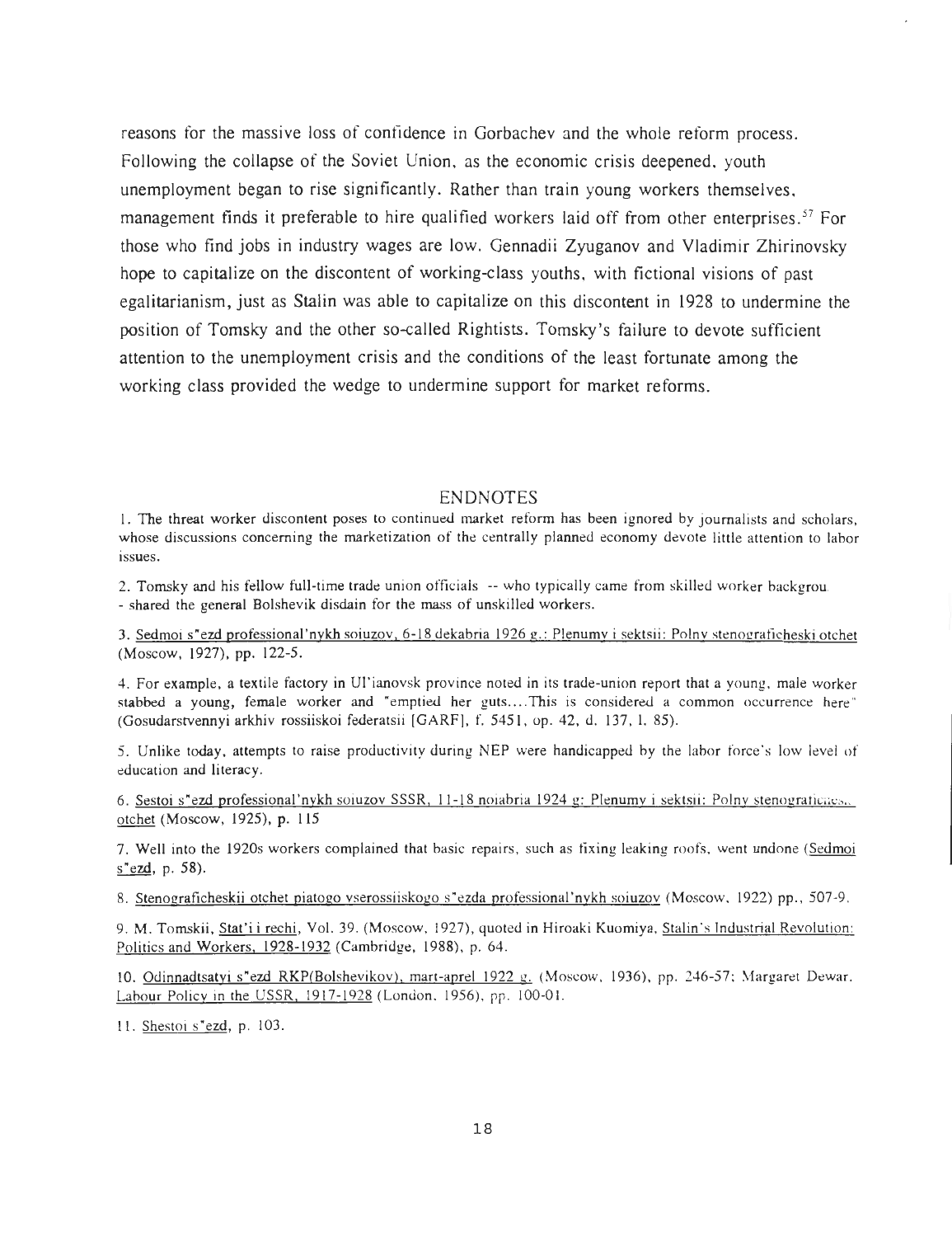reasons for the massive loss of confidence in Gorbachev and the whole reform process . Following the collapse of the Soviet Union, as the economic crisis deepened, youth unemployment began to rise significantly . Rather than train young workers themselves , management finds it preferable to hire qualified workers laid off from other enterprises.<sup>57</sup> For those who find jobs in industry wages are low. Gennadii Zyuganov and Vladimir Zhirinovsky hope to capitalize on the discontent of working-class youths, with fictional visions of past egalitarianism, just as Stalin was able to capitalize on this discontent in 1928 to undermine the position of Tomsky and the other so-called Rightists. Tomsky's failure to devote sufficient attention to the unemployment crisis and the conditions of the least fortunate among the working class provided the wedge to undermine support for market reforms .

#### ENDNOTES

1. The threat worker discontent poses to continued market reform has been ignored by journalists and scholars , whose discussions concerning the marketization of the centrally planned economy devote little attention to labor issues.

2. Tomsky and his fellow full-time trade union officials -- who typically came from skilled worker backgrou. - shared the general Bolshevik disdain for the mass of unskilled workers .

3. Sedmoi s"ezd professional'nykh soiuzov, 6-18 dekabria 1926 g .: Plenumy i sektsii: Polny stenograficheski otchet (Moscow, 1927), pp. 122-5.

4. For example, a textile factory in Ul'ianovsk province noted in its trade-union report that a young, male worker stabbed a young, female worker and "emptied her guts....This is considered a common occurrence here" (Gosudarstvennyi arkhiv rossiiskoi federatsii [GARF], f. 5451, op. 42, d. 137, l. 85).

5. Unlike today, attempts to raise productivity during NEP were handicapped by the labor force's low level of education and literacy.

6. Sestoi s"ezd professional'nykh soiuzov SSSR, 11-18 noiabria 1924 g: Plenumy i sektsii: Polny stenografiches. otchet (Moscow, 1925), p. 115

7. Well into the 1920s workers complained that basic repairs, such as fixing leaking roofs, went undone (Sedmoi s"ezd, p. 58).

8. Stenograficheskii otchet piatogo vserossiiskogo s"ezda professional'nykh soiuzov (Moscow, 1922) pp., 507-9.

9. M. Tomskii, Stat'i i rechi, Vol. 39 . (Moscow. 1927), quoted in Hiroaki Kuomiya, Stalin's Industrial Revolution : Politics and Workers, 1928-1932 (Cambridge, 1988), p. 64.

10. Odinnadtsatyi s"ezd RKP(Bolshevikov), mart-aprel 1922 g. (Moscow, 1936), pp. 246-57; Margaret Dewar. Labour Policy in the USSR, 1917-1928 (London, 1956), pp. 100-01.

11. Shestoi s"ezd, p. 103.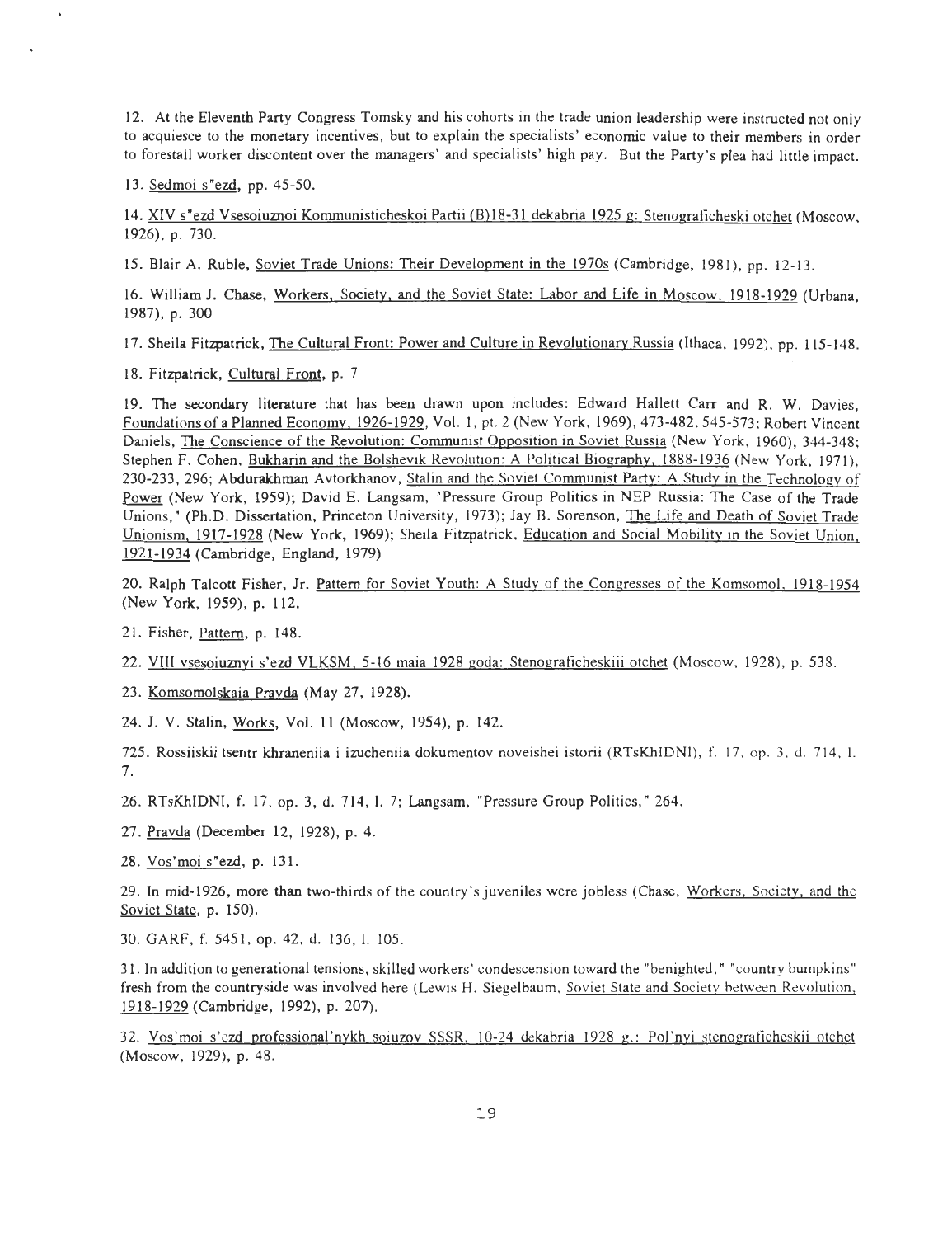12. At the Eleventh Party Congress Tomsky and his cohorts in the trade union leadership were instructed not only to acquiesce to the monetary incentives, but to explain the specialists' economic value to their members in order to forestall worker discontent over the managers' and specialists' high pay. But the Party's plea had little impact.

13. Sedmoi s"ezd, pp. 45-50.

14. XIV s"ezd Vsesoiuznoi Kommunisticheskoi Partii (B)18-31 dekabria I925 g : Stenograficheski otchet (Moscow, 1926), p. 730.

15. Blair A. Ruble, Soviet Trade Unions: Their Development in the 1970s (Cambridge, 1981), pp. 12-13.

16. William J. Chase, Workers, Society, and the Soviet State : Labor and Life in Moscow, I918-I929 (Urbana, 1987), p. 300

17. Sheila Fitzpatrick, The Cultural Front: Power and Culture in Revolutionary Russia (Ithaca, 1992), pp. 115-148.

18. Fitzpatrick, Cultural Front, p. 7

19. The secondary literature that has been drawn upon includes: Edward Hallett Carr and R. W. Davies, Foundations of a Planned Economy, 1926-1929, Vol. 1, pt. 2 (New York, 1969), 473-482, 545-573; Robert Vincent Daniels, The Conscience of the Revolution: Communist Opposition in Soviet Russia (New York, 1960), 344-348; Stephen F. Cohen, Bukharin and the Bolshevik Revolution: A Political Biography, 1888-1936 (New York, 1971), 230-233, 296; Abdurakhman Avtorkhanov, Stalin and the Soviet Communist Party: A Study in the Technology of Power (New York, 1959); David E. Langsam, "Pressure Group Politics in NEP Russia: The Case of the Trade Unions," (Ph.D. Dissertation, Princeton University, 1973); Jay B. Sorenson, The Life and Death of Soviet Trade Unionism, 1917-1928 (New York, 1969); Sheila Fitzpatrick, Education and Social Mobility in the Soviet Union, 1921-I934 (Cambridge, England, 1979 )

20. Ralph Talcott Fisher, Jr. Pattern for Soviet Youth: A Study of the Congresses of the Komsomol. 1918-1954 (New York, 1959), p. 112.

21. Fisher, Pattern, p. 148.

22. VIII vsesoiuznyi s'ezd VLKSM, 5-16 maia 1928 goda: Stenograficheskiii otchet (Moscow, 1928), p. 538.

23. Komsomolskaia Pravda (May 27, 1928).

24. J. V. Stalin, Works, Vol. 11 (Moscow, 1954), p. 142.

725. Rossiiskii tsentr khraneniia i izucheniia dokumentov noveishei istorii (RTsKhIDNI), f. 17, op. 3, d. 714, l. 7 .

26. RTsKhIDNI, f. 17, op. 3, d. 714, l. 7; Langsam, "Pressure Group Politics," 264.

27. Pravda (December 12, 1928), p. 4.

28. Vos'moi s"ezd, p. 131 .

29. In mid-1926, more than two-thirds of the country's juveniles were jobless (Chase, Workers, Society, and the Soviet State, p. 150).

30. GARF, f. 5451, op. 42, d. 136, l. 105.

31. In addition to generational tensions, skilled workers' condescension toward the "benighted, " "country bumpkins " fresh from the countryside was involved here (Lewis H. Siegelbaum, Soviet State and Society between Revolution, 1918-1929 (Cambridge, 1992), p. 207).

32. Vos'moi s'ezd professional'nykh soiuzov SSSR, 10-24 dekabria 1928 g.: Pol'nyi stenograficheskii otchet (Moscow, 1929), p. 48.